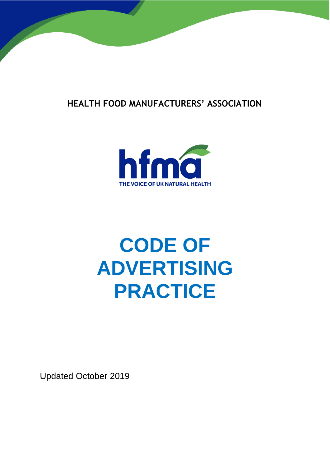



# **CODE OF ADVERTISING PRACTICE**

Updated October 2019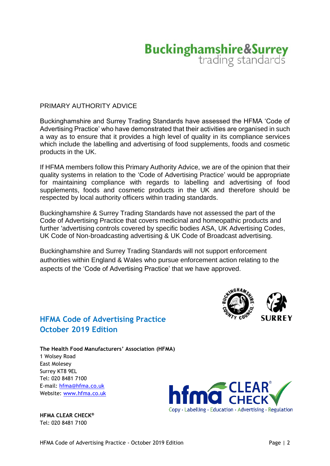# **Buckinghamshire&Surrey**<br>trading standards

# PRIMARY AUTHORITY ADVICE

Buckinghamshire and Surrey Trading Standards have assessed the HFMA 'Code of Advertising Practice' who have demonstrated that their activities are organised in such a way as to ensure that it provides a high level of quality in its compliance services which include the labelling and advertising of food supplements, foods and cosmetic products in the UK.

If HFMA members follow this Primary Authority Advice, we are of the opinion that their quality systems in relation to the 'Code of Advertising Practice' would be appropriate for maintaining compliance with regards to labelling and advertising of food supplements, foods and cosmetic products in the UK and therefore should be respected by local authority officers within trading standards.

Buckinghamshire & Surrey Trading Standards have not assessed the part of the Code of Advertising Practice that covers medicinal and homeopathic products and further 'advertising controls covered by specific bodies ASA, UK Advertising Codes, UK Code of Non-broadcasting advertising & UK Code of Broadcast advertising.

Buckinghamshire and Surrey Trading Standards will not support enforcement authorities within England & Wales who pursue enforcement action relating to the aspects of the 'Code of Advertising Practice' that we have approved.

# **HFMA Code of Advertising Practice October 2019 Edition**



**The Health Food Manufacturers' Association (HFMA)** 1 Wolsey Road East Molesey Surrey KT8 9EL Tel: 020 8481 7100 E-mail: [hfma@hfma.co.uk](mailto:hfma@hfma.co.uk) Website: [www.hfma.co.uk](http://www.hfma.co.uk/)

**HFMA CLEAR CHECK®** Tel: 020 8481 7100

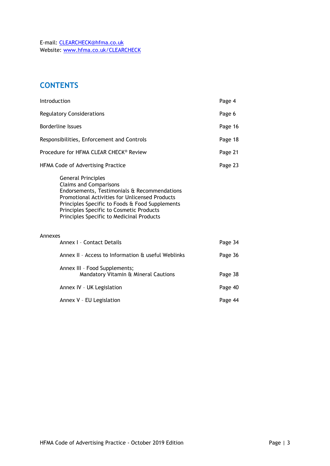E-mail: [CLEARCHECK@hfma.co.uk](mailto:CLEARCHECK@hfma.co.uk) Website: [www.hfma.co.uk/CLEARCHECK](http://www.hfma.co.uk/CLEARCHECK)

# **CONTENTS**

| Introduction                               |                                                                                                                                                                                                                                                                                                                 | Page 4  |
|--------------------------------------------|-----------------------------------------------------------------------------------------------------------------------------------------------------------------------------------------------------------------------------------------------------------------------------------------------------------------|---------|
| <b>Regulatory Considerations</b>           |                                                                                                                                                                                                                                                                                                                 | Page 6  |
| <b>Borderline Issues</b>                   |                                                                                                                                                                                                                                                                                                                 | Page 16 |
| Responsibilities, Enforcement and Controls |                                                                                                                                                                                                                                                                                                                 | Page 18 |
| Procedure for HFMA CLEAR CHECK® Review     |                                                                                                                                                                                                                                                                                                                 | Page 21 |
| HFMA Code of Advertising Practice          |                                                                                                                                                                                                                                                                                                                 | Page 23 |
|                                            | <b>General Principles</b><br><b>Claims and Comparisons</b><br>Endorsements, Testimonials & Recommendations<br><b>Promotional Activities for Unlicensed Products</b><br>Principles Specific to Foods & Food Supplements<br>Principles Specific to Cosmetic Products<br>Principles Specific to Medicinal Products |         |
| Annexes                                    | Annex I - Contact Details                                                                                                                                                                                                                                                                                       | Page 34 |
|                                            | Annex II - Access to Information & useful Weblinks                                                                                                                                                                                                                                                              | Page 36 |
|                                            | Annex III - Food Supplements;<br>Mandatory Vitamin & Mineral Cautions                                                                                                                                                                                                                                           | Page 38 |
|                                            | Annex IV - UK Legislation                                                                                                                                                                                                                                                                                       | Page 40 |
|                                            | Annex V - EU Legislation                                                                                                                                                                                                                                                                                        | Page 44 |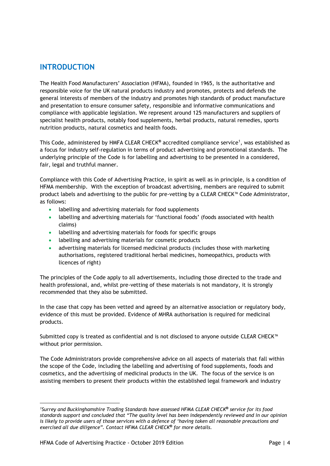# **INTRODUCTION**

The Health Food Manufacturers' Association (HFMA), founded in 1965, is the authoritative and responsible voice for the UK natural products industry and promotes, protects and defends the general interests of members of the industry and promotes high standards of product manufacture and presentation to ensure consumer safety, responsible and informative communications and compliance with applicable legislation. We represent around 125 manufacturers and suppliers of specialist health products, notably food supplements, herbal products, natural remedies, sports nutrition products, natural cosmetics and health foods.

This Code, administered by HMFA CLEAR CHECK**®** accredited compliance service<sup>1</sup> , was established as a focus for industry self-regulation in terms of product advertising and promotional standards. The underlying principle of the Code is for labelling and advertising to be presented in a considered, fair, legal and truthful manner.

Compliance with this Code of Advertising Practice, in spirit as well as in principle, is a condition of HFMA membership. With the exception of broadcast advertising, members are required to submit product labels and advertising to the public for pre-vetting by a CLEAR CHECK™ Code Administrator, as follows:

- labelling and advertising materials for food supplements
- labelling and advertising materials for 'functional foods' (foods associated with health claims)
- labelling and advertising materials for foods for specific groups
- labelling and advertising materials for cosmetic products
- advertising materials for licensed medicinal products (includes those with marketing authorisations, registered traditional herbal medicines, homeopathics, products with licences of right)

The principles of the Code apply to all advertisements, including those directed to the trade and health professional, and, whilst pre-vetting of these materials is not mandatory, it is strongly recommended that they also be submitted.

In the case that copy has been vetted and agreed by an alternative association or regulatory body, evidence of this must be provided. Evidence of MHRA authorisation is required for medicinal products.

Submitted copy is treated as confidential and is not disclosed to anyone outside CLEAR CHECK™ without prior permission.

The Code Administrators provide comprehensive advice on all aspects of materials that fall within the scope of the Code, including the labelling and advertising of food supplements, foods and cosmetics, and the advertising of medicinal products in the UK. The focus of the service is on assisting members to present their products within the established legal framework and industry

<sup>1</sup> *<sup>1</sup>Surrey and Buckinghamshire Trading Standards have assessed HFMA CLEAR CHECK***®** *service for its food standards support and concluded that "The quality level has been independently reviewed and in our opinion*  is likely to provide users of those services with a defence of 'having taken all reasonable precautions and *exercised all due diligence". Contact HFMA CLEAR CHECK***®** *for more details.*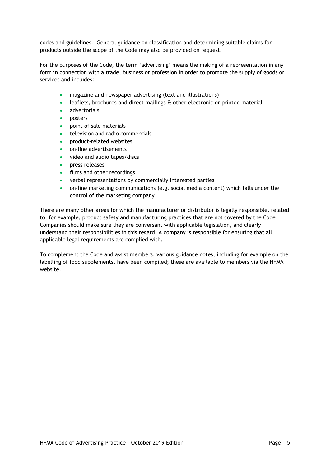codes and guidelines. General guidance on classification and determining suitable claims for products outside the scope of the Code may also be provided on request.

For the purposes of the Code, the term 'advertising' means the making of a representation in any form in connection with a trade, business or profession in order to promote the supply of goods or services and includes:

- magazine and newspaper advertising (text and illustrations)
- leaflets, brochures and direct mailings & other electronic or printed material
- advertorials
- posters
- point of sale materials
- television and radio commercials
- product-related websites
- on-line advertisements
- video and audio tapes/discs
- press releases
- films and other recordings
- verbal representations by commercially interested parties
- on-line marketing communications (e.g. social media content) which falls under the control of the marketing company

There are many other areas for which the manufacturer or distributor is legally responsible, related to, for example, product safety and manufacturing practices that are not covered by the Code. Companies should make sure they are conversant with applicable legislation, and clearly understand their responsibilities in this regard. A company is responsible for ensuring that all applicable legal requirements are complied with.

To complement the Code and assist members, various guidance notes, including for example on the labelling of food supplements, have been compiled; these are available to members via the HFMA website.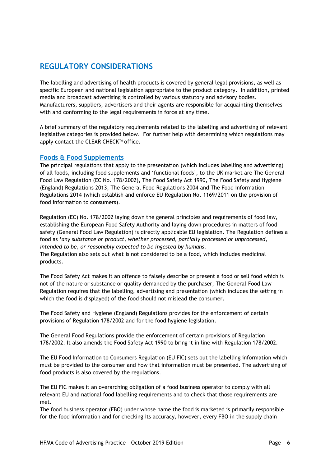# **REGULATORY CONSIDERATIONS**

The labelling and advertising of health products is covered by general legal provisions, as well as specific European and national legislation appropriate to the product category. In addition, printed media and broadcast advertising is controlled by various statutory and advisory bodies. Manufacturers, suppliers, advertisers and their agents are responsible for acquainting themselves with and conforming to the legal requirements in force at any time.

A brief summary of the regulatory requirements related to the labelling and advertising of relevant legislative categories is provided below. For further help with determining which regulations may apply contact the CLEAR CHECK™ office.

### **Foods & Food Supplements**

The principal regulations that apply to the presentation (which includes labelling and advertising) of all foods, including food supplements and 'functional foods', to the UK market are The General Food Law Regulation (EC No. 178/2002), The Food Safety Act 1990, The Food Safety and Hygiene (England) Regulations 2013, The General Food Regulations 2004 and The Food Information Regulations 2014 (which establish and enforce EU Regulation No. 1169/2011 on the provision of food information to consumers).

Regulation (EC) No. 178/2002 laying down the general principles and requirements of food law, establishing the European Food Safety Authority and laying down procedures in matters of food safety (General Food Law Regulation) is directly applicable EU legislation. The Regulation defines a food as '*any substance or product, whether processed, partially processed or unprocessed, intended to be, or reasonably expected to be ingested by humans.*  The Regulation also sets out what is not considered to be a food, which includes medicinal

products.

The Food Safety Act makes it an offence to falsely describe or present a food or sell food which is not of the nature or substance or quality demanded by the purchaser; The General Food Law Regulation requires that the labelling, advertising and presentation (which includes the setting in which the food is displayed) of the food should not mislead the consumer.

The Food Safety and Hygiene (England) Regulations provides for the enforcement of certain provisions of Regulation 178/2002 and for the food hygiene legislation.

The General Food Regulations provide the enforcement of certain provisions of Regulation 178/2002. It also amends the Food Safety Act 1990 to bring it in line with Regulation 178/2002.

The EU Food Information to Consumers Regulation (EU FIC) sets out the labelling information which must be provided to the consumer and how that information must be presented. The advertising of food products is also covered by the regulations.

The EU FIC makes it an overarching obligation of a food business operator to comply with all relevant EU and national food labelling requirements and to check that those requirements are met.

The food business operator (FBO) under whose name the food is marketed is primarily responsible for the food information and for checking its accuracy, however, every FBO in the supply chain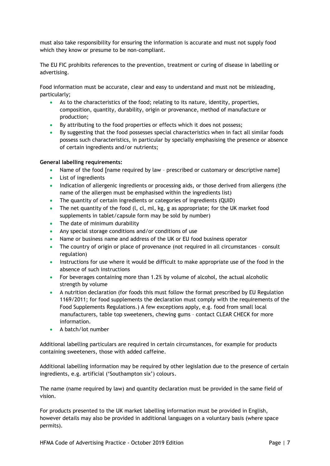must also take responsibility for ensuring the information is accurate and must not supply food which they know or presume to be non-compliant.

The EU FIC prohibits references to the prevention, treatment or curing of disease in labelling or advertising.

Food information must be accurate, clear and easy to understand and must not be misleading, particularly;

- As to the characteristics of the food; relating to its nature, identity, properties, composition, quantity, durability, origin or provenance, method of manufacture or production;
- By attributing to the food properties or effects which it does not possess;
- By suggesting that the food possesses special characteristics when in fact all similar foods possess such characteristics, in particular by specially emphasising the presence or absence of certain ingredients and/or nutrients;

### **General labelling requirements:**

- Name of the food [name required by law prescribed or customary or descriptive name]
- List of ingredients
- Indication of allergenic ingredients or processing aids, or those derived from allergens (the name of the allergen must be emphasised within the ingredients list)
- The quantity of certain ingredients or categories of ingredients (QUID)
- The net quantity of the food  $(l, cl, ml, kg, g$  as appropriate; for the UK market food supplements in tablet/capsule form may be sold by number)
- The date of minimum durability
- Any special storage conditions and/or conditions of use
- Name or business name and address of the UK or EU food business operator
- The country of origin or place of provenance (not required in all circumstances consult regulation)
- Instructions for use where it would be difficult to make appropriate use of the food in the absence of such instructions
- For beverages containing more than 1.2% by volume of alcohol, the actual alcoholic strength by volume
- A nutrition declaration (for foods this must follow the format prescribed by EU Regulation 1169/2011; for food supplements the declaration must comply with the requirements of the Food Supplements Regulations.) A few exceptions apply, e.g. food from small local manufacturers, table top sweeteners, chewing gums – contact CLEAR CHECK for more information.
- A batch/lot number

Additional labelling particulars are required in certain circumstances, for example for products containing sweeteners, those with added caffeine.

Additional labelling information may be required by other legislation due to the presence of certain ingredients, e.g. artificial ('Southampton six') colours.

The name (name required by law) and quantity declaration must be provided in the same field of vision.

For products presented to the UK market labelling information must be provided in English, however details may also be provided in additional languages on a voluntary basis (where space permits).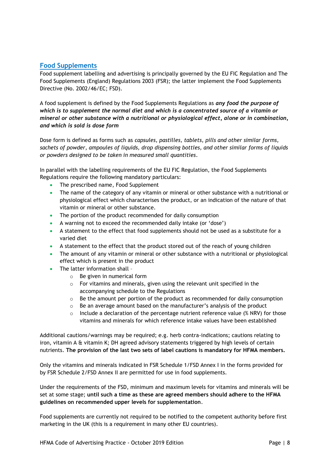### **Food Supplements**

Food supplement labelling and advertising is principally governed by the EU FIC Regulation and The Food Supplements (England) Regulations 2003 (FSR); the latter implement the Food Supplements Directive (No. 2002/46/EC; FSD).

A food supplement is defined by the Food Supplements Regulations as *any food the purpose of which is to supplement the normal diet and which is a concentrated source of a vitamin or mineral or other substance with a nutritional or physiological effect, alone or in combination, and which is sold is dose form*

Dose form is defined as forms such as *capsules, pastilles, tablets, pills and other similar forms, sachets of powder, ampoules of liquids, drop dispensing bottles, and other similar forms of liquids or powders designed to be taken in measured small quantities*.

In parallel with the labelling requirements of the EU FIC Regulation, the Food Supplements Regulations require the following mandatory particulars:

- The prescribed name, Food Supplement
- The name of the category of any vitamin or mineral or other substance with a nutritional or physiological effect which characterises the product, or an indication of the nature of that vitamin or mineral or other substance.
- The portion of the product recommended for daily consumption
- A warning not to exceed the recommended daily intake (or 'dose')
- A statement to the effect that food supplements should not be used as a substitute for a varied diet
- A statement to the effect that the product stored out of the reach of young children
- The amount of any vitamin or mineral or other substance with a nutritional or physiological effect which is present in the product
- The latter information shall
	- o Be given in numerical form
	- o For vitamins and minerals, given using the relevant unit specified in the accompanying schedule to the Regulations
	- $\circ$  Be the amount per portion of the product as recommended for daily consumption
	- $\circ$  Be an average amount based on the manufacturer's analysis of the product
	- Include a declaration of the percentage nutrient reference value (% NRV) for those vitamins and minerals for which reference intake values have been established

Additional cautions/warnings may be required; e.g. herb contra-indications; cautions relating to iron, vitamin A & vitamin K; DH agreed advisory statements triggered by high levels of certain nutrients. **The provision of the last two sets of label cautions is mandatory for HFMA members.**

Only the vitamins and minerals indicated in FSR Schedule 1/FSD Annex I in the forms provided for by FSR Schedule 2/FSD Annex II are permitted for use in food supplements.

Under the requirements of the FSD, minimum and maximum levels for vitamins and minerals will be set at some stage; **until such a time as these are agreed members should adhere to the HFMA guidelines on recommended upper levels for supplementation**.

Food supplements are currently not required to be notified to the competent authority before first marketing in the UK (this is a requirement in many other EU countries).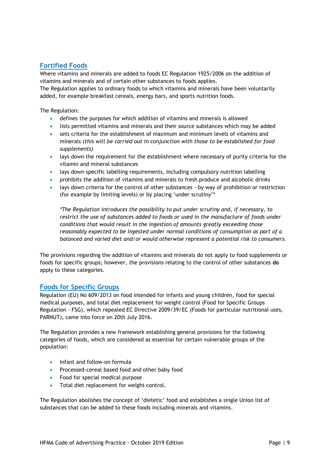# **Fortified Foods**

Where vitamins and minerals are added to foods EC Regulation 1925/2006 on the addition of vitamins and minerals and of certain other substances to foods applies.

The Regulation applies to ordinary foods to which vitamins and minerals have been voluntarily added, for example breakfast cereals, energy bars, and sports nutrition foods.

### The Regulation:

- defines the purposes for which addition of vitamins and minerals is allowed
- lists permitted vitamins and minerals and their source substances which may be added
- sets criteria for the establishment of maximum and minimum levels of vitamins and minerals *(this will be carried out in conjunction with those to be established for food supplements)*
- lays down the requirement for the establishment where necessary of purity criteria for the vitamin and mineral substances
- lays down specific labelling requirements, including compulsory nutrition labelling
- prohibits the addition of vitamins and minerals to fresh produce and alcoholic drinks
- lays down criteria for the control of other substances by way of prohibition or restriction (for example by limiting levels) or by placing 'under scrutiny'\*

*\*The Regulation introduces the possibility to put under scrutiny and, if necessary, to restrict the use of substances added to foods or used in the manufacture of foods under conditions that would result in the ingestion of amounts greatly exceeding those reasonably expected to be ingested under normal conditions of consumption as part of a balanced and varied diet and/or would otherwise represent a potential risk to consumers.*

The provisions regarding the addition of vitamins and minerals do not apply to food supplements or foods for specific groups; however, the provisions relating to the control of other substances **do** apply to these categories.

### **Foods for Specific Groups**

Regulation (EU) No 609/2013 on food intended for infants and young children, food for special medical purposes, and total diet replacement for weight control (Food for Specific Groups Regulation - FSG), which repealed EC Directive 2009/39/EC (Foods for particular nutritional uses, PARNUT), came into force on 20th July 2016.

The Regulation provides a new framework establishing general provisions for the following categories of foods, which are considered as essential for certain vulnerable groups of the population:

- Infant and follow-on formula
- Processed-cereal based food and other baby food
- Food for special medical purpose
- Total diet replacement for weight control.

The Regulation abolishes the concept of 'dietetic' food and establishes a single Union list of substances that can be added to these foods including minerals and vitamins.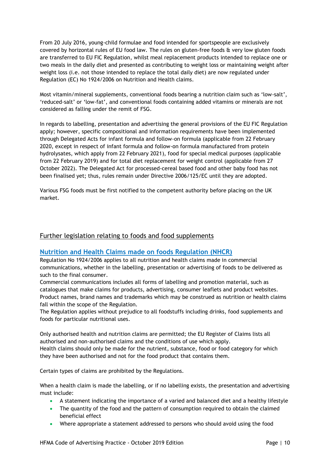From 20 July 2016, young-child formulae and food intended for sportspeople are exclusively covered by horizontal rules of EU food law. The rules on gluten-free foods & very low gluten foods are transferred to EU FIC Regulation, whilst meal replacement products intended to replace one or two meals in the daily diet and presented as contributing to weight loss or maintaining weight after weight loss (i.e. not those intended to replace the total daily diet) are now regulated under Regulation (EC) No 1924/2006 on Nutrition and Health claims.

Most vitamin/mineral supplements, conventional foods bearing a nutrition claim such as 'low-salt', 'reduced-salt' or 'low-fat', and conventional foods containing added vitamins or minerals are not considered as falling under the remit of FSG.

In regards to labelling, presentation and advertising the general provisions of the EU FIC Regulation apply; however, specific compositional and information requirements have been implemented through Delegated Acts for infant formula and follow-on formula (applicable from 22 February 2020, except in respect of infant formula and follow-on formula manufactured from protein hydrolysates, which apply from 22 February 2021), food for special medical purposes (applicable from 22 February 2019) and for total diet replacement for weight control (applicable from 27 October 2022). The Delegated Act for processed-cereal based food and other baby food has not been finalised yet; thus, rules remain under Directive 2006/125/EC until they are adopted.

Various FSG foods must be first notified to the competent authority before placing on the UK market.

# Further legislation relating to foods and food supplements

### **Nutrition and Health Claims made on foods Regulation (NHCR)**

Regulation No 1924/2006 applies to all nutrition and health claims made in commercial communications, whether in the labelling, presentation or advertising of foods to be delivered as such to the final consumer.

Commercial communications includes all forms of labelling and promotion material, such as catalogues that make claims for products, advertising, consumer leaflets and product websites. Product names, brand names and trademarks which may be construed as nutrition or health claims fall within the scope of the Regulation.

The Regulation applies without prejudice to all foodstuffs including drinks, food supplements and foods for particular nutritional uses.

Only authorised health and nutrition claims are permitted; the EU Register of Claims lists all authorised and non-authorised claims and the conditions of use which apply. Health claims should only be made for the nutrient, substance, food or food category for which they have been authorised and not for the food product that contains them.

Certain types of claims are prohibited by the Regulations.

When a health claim is made the labelling, or if no labelling exists, the presentation and advertising must include:

- A statement indicating the importance of a varied and balanced diet and a healthy lifestyle
- The quantity of the food and the pattern of consumption required to obtain the claimed beneficial effect
- Where appropriate a statement addressed to persons who should avoid using the food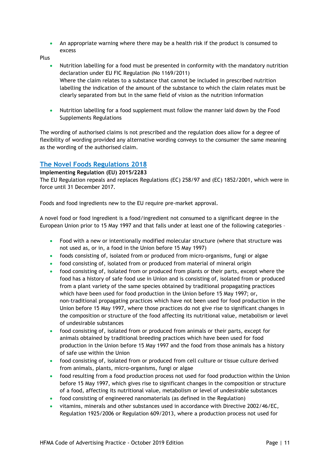An appropriate warning where there may be a health risk if the product is consumed to excess

Plus

- Nutrition labelling for a food must be presented in conformity with the mandatory nutrition declaration under EU FIC Regulation (No 1169/2011) Where the claim relates to a substance that cannot be included in prescribed nutrition labelling the indication of the amount of the substance to which the claim relates must be clearly separated from but in the same field of vision as the nutrition information
- Nutrition labelling for a food supplement must follow the manner laid down by the Food Supplements Regulations

The wording of authorised claims is not prescribed and the regulation does allow for a degree of flexibility of wording provided any alternative wording conveys to the consumer the same meaning as the wording of the authorised claim.

# **The Novel Foods Regulations 2018**

### **Implementing Regulation (EU) 2015/2283**

The EU Regulation repeals and replaces Regulations (EC) 258/97 and (EC) 1852/2001, which were in force until 31 December 2017.

Foods and food ingredients new to the EU require pre-market approval.

A novel food or food ingredient is a food/ingredient not consumed to a significant degree in the European Union prior to 15 May 1997 and that falls under at least one of the following categories –

- Food with a new or intentionally modified molecular structure (where that structure was not used as, or in, a food in the Union before 15 May 1997)
- foods consisting of, isolated from or produced from micro-organisms, fungi or algae
- food consisting of, isolated from or produced from material of mineral origin
- food consisting of, isolated from or produced from plants or their parts, except where the food has a history of safe food use in Union and is consisting of, isolated from or produced from a plant variety of the same species obtained by traditional propagating practices which have been used for food production in the Union before 15 May 1997; or, non-traditional propagating practices which have not been used for food production in the Union before 15 May 1997, where those practices do not give rise to significant changes in the composition or structure of the food affecting its nutritional value, metabolism or level of undesirable substances
- food consisting of, isolated from or produced from animals or their parts, except for animals obtained by traditional breeding practices which have been used for food production in the Union before 15 May 1997 and the food from those animals has a history of safe use within the Union
- food consisting of, isolated from or produced from cell culture or tissue culture derived from animals, plants, micro-organisms, fungi or algae
- food resulting from a food production process not used for food production within the Union before 15 May 1997, which gives rise to significant changes in the composition or structure of a food, affecting its nutritional value, metabolism or level of undesirable substances
- food consisting of engineered nanomaterials (as defined in the Regulation)
- vitamins, minerals and other substances used in accordance with Directive 2002/46/EC, Regulation 1925/2006 or Regulation 609/2013, where a production process not used for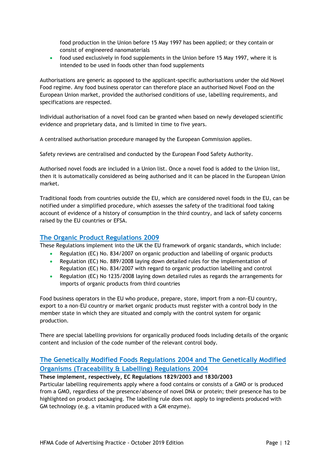food production in the Union before 15 May 1997 has been applied; or they contain or consist of engineered nanomaterials

 food used exclusively in food supplements in the Union before 15 May 1997, where it is intended to be used in foods other than food supplements

Authorisations are generic as opposed to the applicant-specific authorisations under the old Novel Food regime. Any food business operator can therefore place an authorised Novel Food on the European Union market, provided the authorised conditions of use, labelling requirements, and specifications are respected.

Individual authorisation of a novel food can be granted when based on newly developed scientific evidence and proprietary data, and is limited in time to five years.

A centralised authorisation procedure managed by the European Commission applies.

Safety reviews are centralised and conducted by the European Food Safety Authority.

Authorised novel foods are included in a Union list. Once a novel food is added to the Union list, then it is automatically considered as being authorised and it can be placed in the European Union market.

Traditional foods from countries outside the EU, which are considered novel foods in the EU, can be notified under a simplified procedure, which assesses the safety of the traditional food taking account of evidence of a history of consumption in the third country, and lack of safety concerns raised by the EU countries or EFSA.

### **The Organic Product Regulations 2009**

These Regulations implement into the UK the EU framework of organic standards, which include:

- Regulation (EC) No. 834/2007 on organic production and labelling of organic products
- Regulation (EC) No. 889/2008 laying down detailed rules for the implementation of Regulation (EC) No. 834/2007 with regard to organic production labelling and control
- Regulation (EC) No 1235/2008 laying down detailed rules as regards the arrangements for imports of organic products from third countries

Food business operators in the EU who produce, prepare, store, import from a non-EU country, export to a non-EU country or market organic products must register with a control body in the member state in which they are situated and comply with the control system for organic production.

There are special labelling provisions for organically produced foods including details of the organic content and inclusion of the code number of the relevant control body.

# **The Genetically Modified Foods Regulations 2004 and The Genetically Modified Organisms (Traceability & Labelling) Regulations 2004**

**These implement, respectively, EC Regulations 1829/2003 and 1830/2003** Particular labelling requirements apply where a food contains or consists of a GMO or is produced from a GMO, regardless of the presence/absence of novel DNA or protein; their presence has to be highlighted on product packaging. The labelling rule does not apply to ingredients produced with GM technology (e.g. a vitamin produced with a GM enzyme).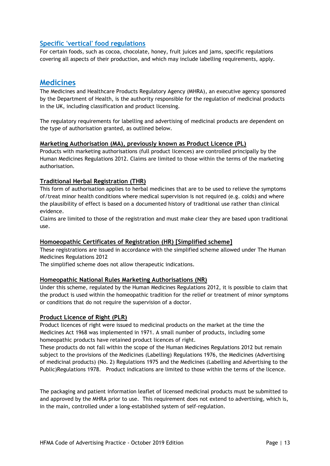# **Specific 'vertical' food regulations**

For certain foods, such as cocoa, chocolate, honey, fruit juices and jams, specific regulations covering all aspects of their production, and which may include labelling requirements, apply.

# **Medicines**

The Medicines and Healthcare Products Regulatory Agency (MHRA), an executive agency sponsored by the Department of Health, is the authority responsible for the regulation of medicinal products in the UK, including classification and product licensing.

The regulatory requirements for labelling and advertising of medicinal products are dependent on the type of authorisation granted, as outlined below.

### **Marketing Authorisation (MA), previously known as Product Licence (PL)**

Products with marketing authorisations (full product licences) are controlled principally by the Human Medicines Regulations 2012. Claims are limited to those within the terms of the marketing authorisation.

### **Traditional Herbal Registration (THR)**

This form of authorisation applies to herbal medicines that are to be used to relieve the symptoms of/treat minor health conditions where medical supervision is not required (e.g. colds) and where the plausibility of effect is based on a documented history of traditional use rather than clinical evidence.

Claims are limited to those of the registration and must make clear they are based upon traditional use.

### **Homoeopathic Certificates of Registration (HR) [Simplified scheme]**

These registrations are issued in accordance with the simplified scheme allowed under The Human Medicines Regulations 2012

The simplified scheme does not allow therapeutic indications.

### **Homeopathic National Rules Marketing Authorisations (NR)**

Under this scheme, regulated by the Human Medicines Regulations 2012, it is possible to claim that the product is used within the homeopathic tradition for the relief or treatment of minor symptoms or conditions that do not require the supervision of a doctor.

### **Product Licence of Right (PLR)**

Product licences of right were issued to medicinal products on the market at the time the Medicines Act 1968 was implemented in 1971. A small number of products, including some homeopathic products have retained product licences of right.

These products do not fall within the scope of the Human Medicines Regulations 2012 but remain subject to the provisions of the Medicines (Labelling) Regulations 1976, the Medicines (Advertising of medicinal products) (No. 2) Regulations 1975 and the Medicines (Labelling and Advertising to the Public)Regulations 1978. Product indications are limited to those within the terms of the licence.

The packaging and patient information leaflet of licensed medicinal products must be submitted to and approved by the MHRA prior to use. This requirement does not extend to advertising, which is, in the main, controlled under a long-established system of self-regulation.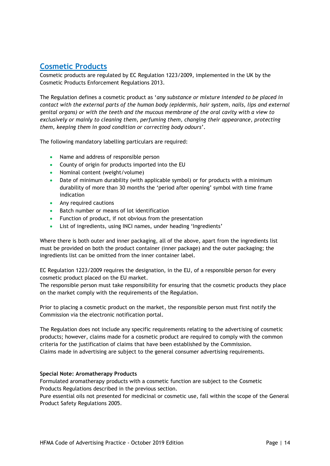# **Cosmetic Products**

Cosmetic products are regulated by EC Regulation 1223/2009, implemented in the UK by the Cosmetic Products Enforcement Regulations 2013.

The Regulation defines a cosmetic product as '*any substance or mixture intended to be placed in contact with the external parts of the human body (epidermis, hair system, nails, lips and external genital organs) or with the teeth and the mucous membrane of the oral cavity with a view to exclusively or mainly to cleaning them, perfuming them, changing their appearance, protecting them, keeping them in good condition or correcting body odours*'.

The following mandatory labelling particulars are required:

- Name and address of responsible person
- County of origin for products imported into the EU
- Nominal content (weight/volume)
- Date of minimum durability (with applicable symbol) or for products with a minimum durability of more than 30 months the 'period after opening' symbol with time frame indication
- Any required cautions
- Batch number or means of lot identification
- Function of product, if not obvious from the presentation
- List of ingredients, using INCI names, under heading 'Ingredients'

Where there is both outer and inner packaging, all of the above, apart from the ingredients list must be provided on both the product container (inner package) and the outer packaging; the ingredients list can be omitted from the inner container label.

EC Regulation 1223/2009 requires the designation, in the EU, of a responsible person for every cosmetic product placed on the EU market.

The responsible person must take responsibility for ensuring that the cosmetic products they place on the market comply with the requirements of the Regulation.

Prior to placing a cosmetic product on the market, the responsible person must first notify the Commission via the electronic notification portal.

The Regulation does not include any specific requirements relating to the advertising of cosmetic products; however, claims made for a cosmetic product are required to comply with the common criteria for the justification of claims that have been established by the Commission. Claims made in advertising are subject to the general consumer advertising requirements.

### **Special Note: Aromatherapy Products**

Formulated aromatherapy products with a cosmetic function are subject to the Cosmetic Products Regulations described in the previous section.

Pure essential oils not presented for medicinal or cosmetic use, fall within the scope of the General Product Safety Regulations 2005.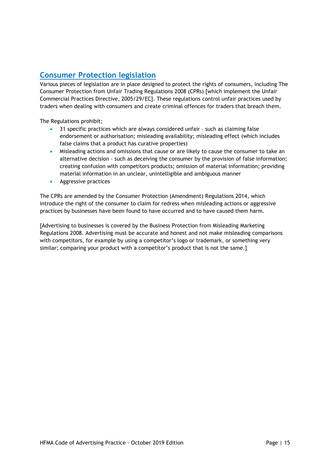# **Consumer Protection legislation**

Various pieces of legislation are in place designed to protect the rights of consumers, including The Consumer Protection from Unfair Trading Regulations 2008 (CPRs) [which implement the Unfair Commercial Practices Directive, 2005/29/EC]. These regulations control unfair practices used by traders when dealing with consumers and create criminal offences for traders that breach them.

The Regulations prohibit;

- 31 specific practices which are always considered unfair such as claiming false endorsement or authorisation; misleading availability; misleading effect (which includes false claims that a product has curative properties)
- Misleading actions and omissions that cause or are likely to cause the consumer to take an alternative decision - such as deceiving the consumer by the provision of false information; creating confusion with competitors products; omission of material information; providing material information in an unclear, unintelligible and ambiguous manner
- Aggressive practices

The CPRs are amended by the Consumer Protection (Amendment) Regulations 2014, which introduce the right of the consumer to claim for redress when misleading actions or aggressive practices by businesses have been found to have occurred and to have caused them harm.

[Advertising to businesses is covered by the Business Protection from Misleading Marketing Regulations 2008. Advertising must be accurate and honest and not make misleading comparisons with competitors, for example by using a competitor's logo or trademark, or something very similar; comparing your product with a competitor's product that is not the same.]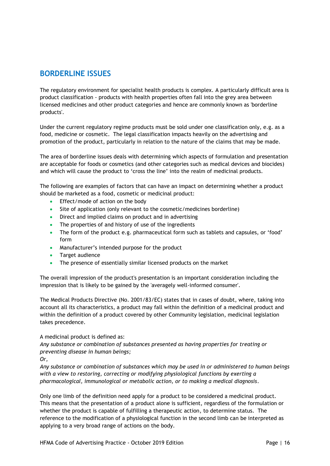# **BORDERLINE ISSUES**

The regulatory environment for specialist health products is complex. A particularly difficult area is product classification - products with health properties often fall into the grey area between licensed medicines and other product categories and hence are commonly known as 'borderline products'.

Under the current regulatory regime products must be sold under one classification only, e.g. as a food, medicine or cosmetic. The legal classification impacts heavily on the advertising and promotion of the product, particularly in relation to the nature of the claims that may be made.

The area of borderline issues deals with determining which aspects of formulation and presentation are acceptable for foods or cosmetics (and other categories such as medical devices and biocides) and which will cause the product to 'cross the line' into the realm of medicinal products.

The following are examples of factors that can have an impact on determining whether a product should be marketed as a food, cosmetic or medicinal product:

- Effect/mode of action on the body
- Site of application (only relevant to the cosmetic/medicines borderline)
- Direct and implied claims on product and in advertising
- The properties of and history of use of the ingredients
- The form of the product e.g. pharmaceutical form such as tablets and capsules, or 'food' form
- Manufacturer's intended purpose for the product
- Target audience
- The presence of essentially similar licensed products on the market

The overall impression of the product's presentation is an important consideration including the impression that is likely to be gained by the 'averagely well-informed consumer'.

The Medical Products Directive (No. 2001/83/EC) states that in cases of doubt, where, taking into account all its characteristics, a product may fall within the definition of a medicinal product and within the definition of a product covered by other Community legislation, medicinal legislation takes precedence.

### A medicinal product is defined as:

*Any substance or combination of substances presented as having properties for treating or preventing disease in human beings;*

*Or,*

*Any substance or combination of substances which may be used in or administered to human beings with a view to restoring, correcting or modifying physiological functions by exerting a pharmacological, immunological or metabolic action, or to making a medical diagnosis.*

Only one limb of the definition need apply for a product to be considered a medicinal product. This means that the presentation of a product alone is sufficient, regardless of the formulation or whether the product is capable of fulfilling a therapeutic action, to determine status. The reference to the modification of a physiological function in the second limb can be interpreted as applying to a very broad range of actions on the body.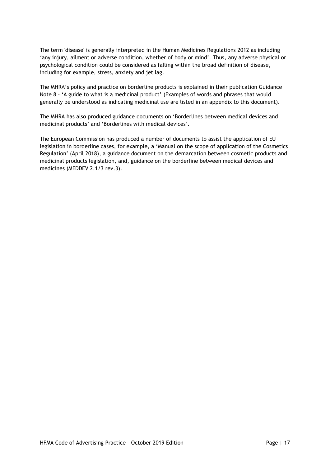The term 'disease' is generally interpreted in the Human Medicines Regulations 2012 as including 'any injury, ailment or adverse condition, whether of body or mind'. Thus, any adverse physical or psychological condition could be considered as falling within the broad definition of disease, including for example, stress, anxiety and jet lag.

The MHRA's policy and practice on borderline products is explained in their publication Guidance Note 8 – 'A guide to what is a medicinal product' (Examples of words and phrases that would generally be understood as indicating medicinal use are listed in an appendix to this document).

The MHRA has also produced guidance documents on 'Borderlines between medical devices and medicinal products' and 'Borderlines with medical devices'.

The European Commission has produced a number of documents to assist the application of EU legislation in borderline cases, for example, a 'Manual on the scope of application of the Cosmetics Regulation' (April 2018), a guidance document on the demarcation between cosmetic products and medicinal products legislation, and, guidance on the borderline between medical devices and medicines (MEDDEV 2.1/3 rev.3).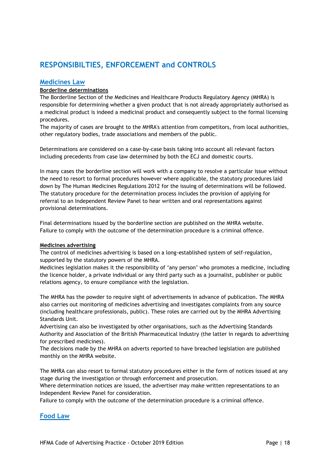# **RESPONSIBILTIES, ENFORCEMENT and CONTROLS**

### **Medicines Law**

### **Borderline determinations**

The Borderline Section of the Medicines and Healthcare Products Regulatory Agency (MHRA) is responsible for determining whether a given product that is not already appropriately authorised as a medicinal product is indeed a medicinal product and consequently subject to the formal licensing procedures.

The majority of cases are brought to the MHRA's attention from competitors, from local authorities, other regulatory bodies, trade associations and members of the public.

Determinations are considered on a case-by-case basis taking into account all relevant factors including precedents from case law determined by both the ECJ and domestic courts.

In many cases the borderline section will work with a company to resolve a particular issue without the need to resort to formal procedures however where applicable, the statutory procedures laid down by The Human Medicines Regulations 2012 for the issuing of determinations will be followed. The statutory procedure for the determination process includes the provision of applying for referral to an Independent Review Panel to hear written and oral representations against provisional determinations.

Final determinations issued by the borderline section are published on the MHRA website. Failure to comply with the outcome of the determination procedure is a criminal offence.

### **Medicines advertising**

The control of medicines advertising is based on a long-established system of self-regulation, supported by the statutory powers of the MHRA.

Medicines legislation makes it the responsibility of 'any person' who promotes a medicine, including the licence holder, a private individual or any third party such as a journalist, publisher or public relations agency, to ensure compliance with the legislation.

The MHRA has the powder to require sight of advertisements in advance of publication. The MHRA also carries out monitoring of medicines advertising and investigates complaints from any source (including healthcare professionals, public). These roles are carried out by the MHRA Advertising Standards Unit.

Advertising can also be investigated by other organisations, such as the Advertising Standards Authority and Association of the British Pharmaceutical Industry (the latter in regards to advertising for prescribed medicines).

The decisions made by the MHRA on adverts reported to have breached legislation are published monthly on the MHRA website.

The MHRA can also resort to formal statutory procedures either in the form of notices issued at any stage during the investigation or through enforcement and prosecution.

Where determination notices are issued, the advertiser may make written representations to an Independent Review Panel for consideration.

Failure to comply with the outcome of the determination procedure is a criminal offence.

### **Food Law**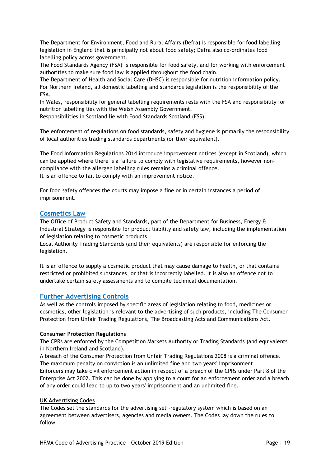The Department for Environment, Food and Rural Affairs (Defra) is responsible for food labelling legislation in England that is principally not about food safety; Defra also co-ordinates food labelling policy across government.

The Food Standards Agency (FSA) is responsible for food safety, and for working with enforcement authorities to make sure food law is applied throughout the food chain.

The Department of Health and Social Care (DHSC) is responsible for nutrition information policy. For Northern Ireland, all domestic labelling and standards legislation is the responsibility of the FSA.

In Wales, responsibility for general labelling requirements rests with the FSA and responsibility for nutrition labelling lies with the Welsh Assembly Government.

Responsibilities in Scotland lie with Food Standards Scotland (FSS).

The enforcement of regulations on food standards, safety and hygiene is primarily the responsibility of local authorities trading standards departments (or their equivalent).

The Food Information Regulations 2014 introduce improvement notices (except in Scotland), which can be applied where there is a failure to comply with legislative requirements, however noncompliance with the allergen labelling rules remains a criminal offence. It is an offence to fail to comply with an improvement notice.

For food safety offences the courts may impose a fine or in certain instances a period of imprisonment.

# **Cosmetics Law**

The Office of Product Safety and Standards, part of the Department for Business, Energy & Industrial Strategy is responsible for product liability and safety law, including the implementation of legislation relating to cosmetic products.

Local Authority Trading Standards (and their equivalents) are responsible for enforcing the legislation.

It is an offence to supply a cosmetic product that may cause damage to health, or that contains restricted or prohibited substances, or that is incorrectly labelled. It is also an offence not to undertake certain safety assessments and to compile technical documentation.

### **Further Advertising Controls**

As well as the controls imposed by specific areas of legislation relating to food, medicines or cosmetics, other legislation is relevant to the advertising of such products, including The Consumer Protection from Unfair Trading Regulations, The Broadcasting Acts and Communications Act.

### **Consumer Protection Regulations**

The CPRs are enforced by the Competition Markets Authority or Trading Standards (and equivalents in Northern Ireland and Scotland).

A breach of the Consumer Protection from Unfair Trading Regulations 2008 is a criminal offence. The maximum penalty on conviction is an unlimited fine and two years' imprisonment.

Enforcers may take civil enforcement action in respect of a breach of the CPRs under Part 8 of the Enterprise Act 2002. This can be done by applying to a court for an enforcement order and a breach of any order could lead to up to two years' imprisonment and an unlimited fine.

### **UK Advertising Codes**

The Codes set the standards for the advertising self-regulatory system which is based on an agreement between advertisers, agencies and media owners. The Codes lay down the rules to follow.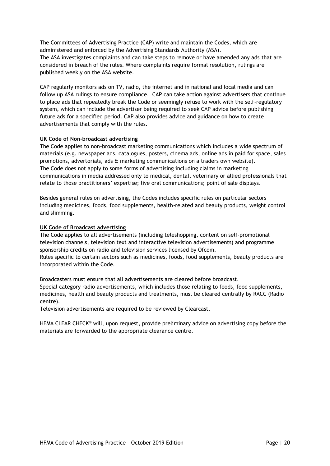The Committees of Advertising Practice (CAP) write and maintain the Codes, which are administered and enforced by the Advertising Standards Authority (ASA). The ASA investigates complaints and can take steps to remove or have amended any ads that are considered in breach of the rules. Where complaints require formal resolution, rulings are published weekly on the ASA website.

CAP regularly monitors ads on TV, radio, the internet and in national and local media and can follow up ASA rulings to ensure compliance. CAP can take action against advertisers that continue to place ads that repeatedly break the Code or seemingly refuse to work with the self-regulatory system, which can include the advertiser being required to seek CAP advice before publishing future ads for a specified period. CAP also provides advice and guidance on how to create advertisements that comply with the rules.

### **UK Code of Non-broadcast advertising**

The Code applies to non-broadcast marketing communications which includes a wide spectrum of materials (e.g. newspaper ads, catalogues, posters, cinema ads, online ads in paid for space, sales promotions, advertorials, ads & marketing communications on a traders own website). The Code does not apply to some forms of advertising including claims in marketing communications in media addressed only to medical, dental, veterinary or allied professionals that relate to those practitioners' expertise; live oral communications; point of sale displays.

Besides general rules on advertising, the Codes includes specific rules on particular sectors including medicines, foods, food supplements, health-related and beauty products, weight control and slimming.

### **UK Code of Broadcast advertising**

The Code applies to all advertisements (including teleshopping, content on self-promotional television channels, television text and interactive television advertisements) and programme sponsorship credits on radio and television services licensed by Ofcom. Rules specific to certain sectors such as medicines, foods, food supplements, beauty products are incorporated within the Code.

Broadcasters must ensure that all advertisements are cleared before broadcast. Special category radio advertisements, which includes those relating to foods, food supplements, medicines, health and beauty products and treatments, must be cleared centrally by RACC (Radio centre).

Television advertisements are required to be reviewed by Clearcast.

HFMA CLEAR CHECK® will, upon request, provide preliminary advice on advertising copy before the materials are forwarded to the appropriate clearance centre.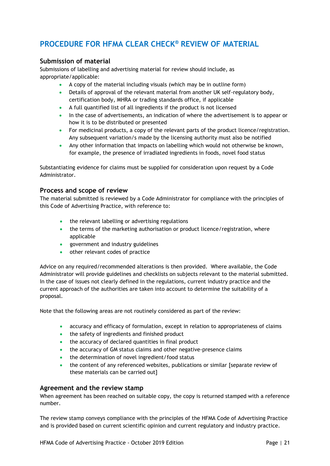# **PROCEDURE FOR HFMA CLEAR CHECK® REVIEW OF MATERIAL**

# **Submission of material**

Submissions of labelling and advertising material for review should include, as appropriate/applicable:

- A copy of the material including visuals (which may be in outline form)
- Details of approval of the relevant material from another UK self-regulatory body, certification body, MHRA or trading standards office, if applicable
- A full quantified list of all ingredients if the product is not licensed
- In the case of advertisements, an indication of where the advertisement is to appear or how it is to be distributed or presented
- For medicinal products, a copy of the relevant parts of the product licence/registration. Any subsequent variation/s made by the licensing authority must also be notified
- Any other information that impacts on labelling which would not otherwise be known, for example, the presence of irradiated ingredients in foods, novel food status

Substantiating evidence for claims must be supplied for consideration upon request by a Code Administrator.

### **Process and scope of review**

The material submitted is reviewed by a Code Administrator for compliance with the principles of this Code of Advertising Practice, with reference to:

- the relevant labelling or advertising regulations
- the terms of the marketing authorisation or product licence/registration, where applicable
- government and industry guidelines
- other relevant codes of practice

Advice on any required/recommended alterations is then provided. Where available, the Code Administrator will provide guidelines and checklists on subjects relevant to the material submitted. In the case of issues not clearly defined in the regulations, current industry practice and the current approach of the authorities are taken into account to determine the suitability of a proposal.

Note that the following areas are not routinely considered as part of the review:

- accuracy and efficacy of formulation, except in relation to appropriateness of claims
- the safety of ingredients and finished product
- the accuracy of declared quantities in final product
- the accuracy of GM status claims and other negative-presence claims
- the determination of novel ingredient/food status
- the content of any referenced websites, publications or similar [separate review of these materials can be carried out]

### **Agreement and the review stamp**

When agreement has been reached on suitable copy, the copy is returned stamped with a reference number.

The review stamp conveys compliance with the principles of the HFMA Code of Advertising Practice and is provided based on current scientific opinion and current regulatory and industry practice.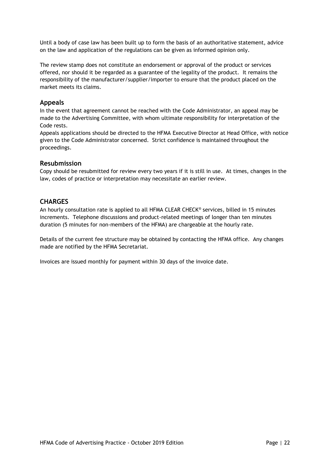Until a body of case law has been built up to form the basis of an authoritative statement, advice on the law and application of the regulations can be given as informed opinion only.

The review stamp does not constitute an endorsement or approval of the product or services offered, nor should it be regarded as a guarantee of the legality of the product. It remains the responsibility of the manufacturer/supplier/importer to ensure that the product placed on the market meets its claims.

### **Appeals**

In the event that agreement cannot be reached with the Code Administrator, an appeal may be made to the Advertising Committee, with whom ultimate responsibility for interpretation of the Code rests.

Appeals applications should be directed to the HFMA Executive Director at Head Office, with notice given to the Code Administrator concerned. Strict confidence is maintained throughout the proceedings.

### **Resubmission**

Copy should be resubmitted for review every two years if it is still in use. At times, changes in the law, codes of practice or interpretation may necessitate an earlier review.

### **CHARGES**

An hourly consultation rate is applied to all HFMA CLEAR CHECK® services, billed in 15 minutes increments. Telephone discussions and product-related meetings of longer than ten minutes duration (5 minutes for non-members of the HFMA) are chargeable at the hourly rate.

Details of the current fee structure may be obtained by contacting the HFMA office. Any changes made are notified by the HFMA Secretariat.

Invoices are issued monthly for payment within 30 days of the invoice date.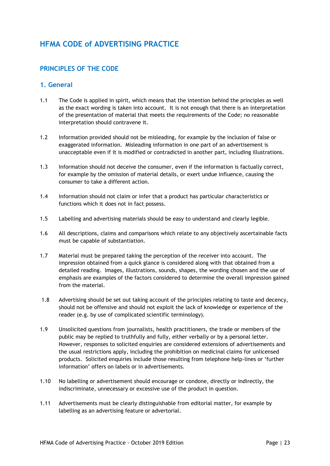# **HFMA CODE of ADVERTISING PRACTICE**

# **PRINCIPLES OF THE CODE**

### **1. General**

- 1.1 The Code is applied in spirit, which means that the intention behind the principles as well as the exact wording is taken into account. It is not enough that there is an interpretation of the presentation of material that meets the requirements of the Code; no reasonable interpretation should contravene it.
- 1.2 Information provided should not be misleading, for example by the inclusion of false or exaggerated information. Misleading information in one part of an advertisement is unacceptable even if it is modified or contradicted in another part, including illustrations.
- 1.3 Information should not deceive the consumer, even if the information is factually correct, for example by the omission of material details, or exert undue influence, causing the consumer to take a different action.
- 1.4 Information should not claim or infer that a product has particular characteristics or functions which it does not in fact possess.
- 1.5 Labelling and advertising materials should be easy to understand and clearly legible.
- 1.6 All descriptions, claims and comparisons which relate to any objectively ascertainable facts must be capable of substantiation.
- 1.7 Material must be prepared taking the perception of the receiver into account. The impression obtained from a quick glance is considered along with that obtained from a detailed reading. Images, illustrations, sounds, shapes, the wording chosen and the use of emphasis are examples of the factors considered to determine the overall impression gained from the material.
- 1.8 Advertising should be set out taking account of the principles relating to taste and decency, should not be offensive and should not exploit the lack of knowledge or experience of the reader (e.g. by use of complicated scientific terminology).
- 1.9 Unsolicited questions from journalists, health practitioners, the trade or members of the public may be replied to truthfully and fully, either verbally or by a personal letter. However, responses to solicited enquiries are considered extensions of advertisements and the usual restrictions apply, including the prohibition on medicinal claims for unlicensed products. Solicited enquiries include those resulting from telephone help-lines or 'further information' offers on labels or in advertisements.
- 1.10 No labelling or advertisement should encourage or condone, directly or indirectly, the indiscriminate, unnecessary or excessive use of the product in question.
- 1.11 Advertisements must be clearly distinguishable from editorial matter, for example by labelling as an advertising feature or advertorial.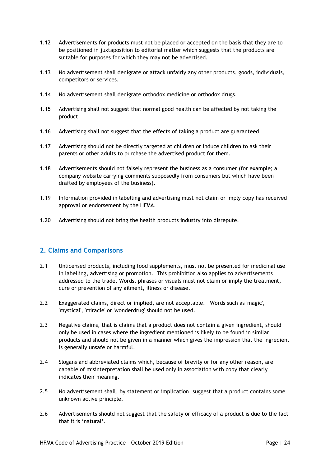- 1.12 Advertisements for products must not be placed or accepted on the basis that they are to be positioned in juxtaposition to editorial matter which suggests that the products are suitable for purposes for which they may not be advertised.
- 1.13 No advertisement shall denigrate or attack unfairly any other products, goods, individuals, competitors or services.
- 1.14 No advertisement shall denigrate orthodox medicine or orthodox drugs.
- 1.15 Advertising shall not suggest that normal good health can be affected by not taking the product.
- 1.16 Advertising shall not suggest that the effects of taking a product are guaranteed.
- 1.17 Advertising should not be directly targeted at children or induce children to ask their parents or other adults to purchase the advertised product for them.
- 1.18 Advertisements should not falsely represent the business as a consumer (for example; a company website carrying comments supposedly from consumers but which have been drafted by employees of the business).
- 1.19 Information provided in labelling and advertising must not claim or imply copy has received approval or endorsement by the HFMA.
- 1.20 Advertising should not bring the health products industry into disrepute.

# **2. Claims and Comparisons**

- 2.1 Unlicensed products, including food supplements, must not be presented for medicinal use in labelling, advertising or promotion. This prohibition also applies to advertisements addressed to the trade. Words, phrases or visuals must not claim or imply the treatment, cure or prevention of any ailment, illness or disease.
- 2.2 Exaggerated claims, direct or implied, are not acceptable. Words such as 'magic', 'mystical', 'miracle' or 'wonderdrug' should not be used.
- 2.3 Negative claims, that is claims that a product does not contain a given ingredient, should only be used in cases where the ingredient mentioned is likely to be found in similar products and should not be given in a manner which gives the impression that the ingredient is generally unsafe or harmful.
- 2.4 Slogans and abbreviated claims which, because of brevity or for any other reason, are capable of misinterpretation shall be used only in association with copy that clearly indicates their meaning.
- 2.5 No advertisement shall, by statement or implication, suggest that a product contains some unknown active principle.
- 2.6 Advertisements should not suggest that the safety or efficacy of a product is due to the fact that it is 'natural'.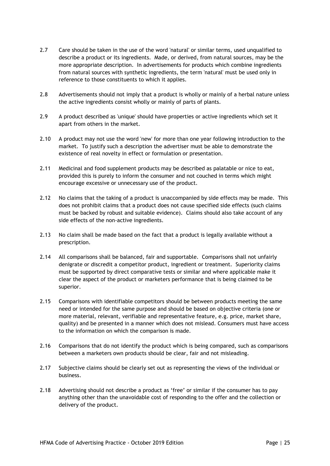- 2.7 Care should be taken in the use of the word 'natural' or similar terms, used unqualified to describe a product or its ingredients. Made, or derived, from natural sources, may be the more appropriate description. In advertisements for products which combine ingredients from natural sources with synthetic ingredients, the term 'natural' must be used only in reference to those constituents to which it applies.
- 2.8 Advertisements should not imply that a product is wholly or mainly of a herbal nature unless the active ingredients consist wholly or mainly of parts of plants.
- 2.9 A product described as 'unique' should have properties or active ingredients which set it apart from others in the market.
- 2.10 A product may not use the word 'new' for more than one year following introduction to the market. To justify such a description the advertiser must be able to demonstrate the existence of real novelty in effect or formulation or presentation.
- 2.11 Medicinal and food supplement products may be described as palatable or nice to eat, provided this is purely to inform the consumer and not couched in terms which might encourage excessive or unnecessary use of the product.
- 2.12 No claims that the taking of a product is unaccompanied by side effects may be made. This does not prohibit claims that a product does not cause specified side effects (such claims must be backed by robust and suitable evidence). Claims should also take account of any side effects of the non-active ingredients.
- 2.13 No claim shall be made based on the fact that a product is legally available without a prescription.
- 2.14 All comparisons shall be balanced, fair and supportable. Comparisons shall not unfairly denigrate or discredit a competitor product, ingredient or treatment. Superiority claims must be supported by direct comparative tests or similar and where applicable make it clear the aspect of the product or marketers performance that is being claimed to be superior.
- 2.15 Comparisons with identifiable competitors should be between products meeting the same need or intended for the same purpose and should be based on objective criteria (one or more material, relevant, verifiable and representative feature, e.g. price, market share, quality) and be presented in a manner which does not mislead. Consumers must have access to the information on which the comparison is made.
- 2.16 Comparisons that do not identify the product which is being compared, such as comparisons between a marketers own products should be clear, fair and not misleading.
- 2.17 Subjective claims should be clearly set out as representing the views of the individual or business.
- 2.18 Advertising should not describe a product as 'free' or similar if the consumer has to pay anything other than the unavoidable cost of responding to the offer and the collection or delivery of the product.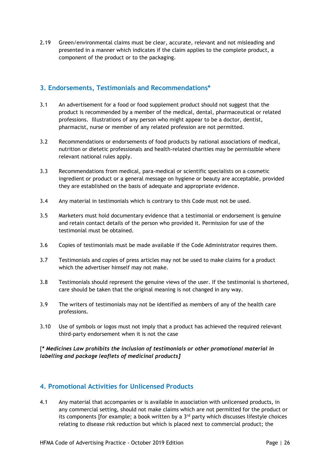2.19 Green/environmental claims must be clear, accurate, relevant and not misleading and presented in a manner which indicates if the claim applies to the complete product, a component of the product or to the packaging.

# **3. Endorsements, Testimonials and Recommendations\***

- 3.1 An advertisement for a food or food supplement product should not suggest that the product is recommended by a member of the medical, dental, pharmaceutical or related professions. Illustrations of any person who might appear to be a doctor, dentist, pharmacist, nurse or member of any related profession are not permitted.
- 3.2 Recommendations or endorsements of food products by national associations of medical, nutrition or dietetic professionals and health-related charities may be permissible where relevant national rules apply.
- 3.3 Recommendations from medical, para-medical or scientific specialists on a cosmetic ingredient or product or a general message on hygiene or beauty are acceptable, provided they are established on the basis of adequate and appropriate evidence.
- 3.4 Any material in testimonials which is contrary to this Code must not be used.
- 3.5 Marketers must hold documentary evidence that a testimonial or endorsement is genuine and retain contact details of the person who provided it. Permission for use of the testimonial must be obtained.
- 3.6 Copies of testimonials must be made available if the Code Administrator requires them.
- 3.7 Testimonials and copies of press articles may not be used to make claims for a product which the advertiser himself may not make.
- 3.8 Testimonials should represent the genuine views of the user. If the testimonial is shortened, care should be taken that the original meaning is not changed in any way.
- 3.9 The writers of testimonials may not be identified as members of any of the health care professions.
- 3.10 Use of symbols or logos must not imply that a product has achieved the required relevant third-party endorsement when it is not the case

[*\* Medicines Law prohibits the inclusion of testimonials or other promotional material in labelling and package leaflets of medicinal products]*

# **4. Promotional Activities for Unlicensed Products**

4.1 Any material that accompanies or is available in association with unlicensed products, in any commercial setting, should not make claims which are not permitted for the product or its components [for example; a book written by a  $3<sup>rd</sup>$  party which discusses lifestyle choices relating to disease risk reduction but which is placed next to commercial product; the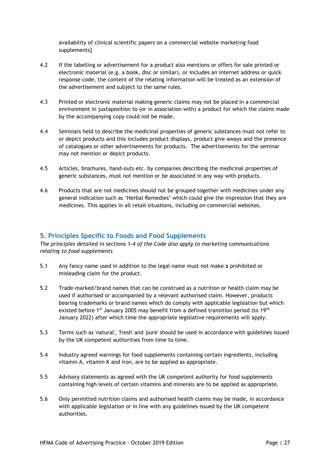availability of clinical scientific papers on a commercial website marketing food supplements]

- 4.2 If the labelling or advertisement for a product also mentions or offers for sale printed or electronic material (e.g. a book, disc or similar), or includes an internet address or quick response code, the content of the relating information will be treated as an extension of the advertisement and subject to the same rules.
- 4.3 Printed or electronic material making generic claims may not be placed in a commercial environment in juxtaposition to (or in association with) a product for which the claims made by the accompanying copy could not be made.
- 4.4 Seminars held to describe the medicinal properties of generic substances must not refer to or depict products and this includes product displays, product give-aways and the presence of catalogues or other advertisements for products. The advertisements for the seminar may not mention or depict products.
- 4.5 Articles, brochures, hand-outs etc. by companies describing the medicinal properties of generic substances, must not mention or be associated in any way with products.
- 4.6 Products that are not medicines should not be grouped together with medicines under any general indication such as 'Herbal Remedies' which could give the impression that they are medicines. This applies in all retail situations, including on commercial websites.

### **5. Principles Specific to Foods and Food Supplements**

*The principles detailed in sections 1-4 of the Code also apply to marketing communications relating to food supplements*

- 5.1 Any fancy name used in addition to the legal name must not make a prohibited or misleading claim for the product.
- 5.2 Trade-marked/brand names that can be construed as a nutrition or health claim may be used if authorised or accompanied by a relevant authorised claim. However, products bearing trademarks or brand names which do comply with applicable legislation but which existed before 1<sup>st</sup> January 2005 may benefit from a defined transition period (to 19<sup>th</sup>) January 2022) after which time the appropriate legislative requirements will apply.
- 5.3 Terms such as 'natural', 'fresh' and 'pure' should be used in accordance with guidelines issued by the UK competent authorities from time to time.
- 5.4 Industry agreed warnings for food supplements containing certain ingredients, including vitamin A, vitamin K and iron, are to be applied as appropriate.
- 5.5 Advisory statements as agreed with the UK competent authority for food supplements containing high levels of certain vitamins and minerals are to be applied as appropriate.
- 5.6 Only permitted nutrition claims and authorised health claims may be made, in accordance with applicable legislation or in line with any guidelines issued by the UK competent authorities.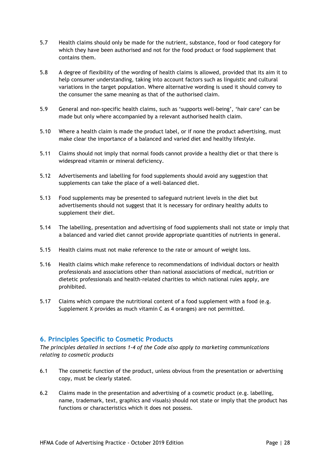- 5.7 Health claims should only be made for the nutrient, substance, food or food category for which they have been authorised and not for the food product or food supplement that contains them.
- 5.8 A degree of flexibility of the wording of health claims is allowed, provided that its aim it to help consumer understanding, taking into account factors such as linguistic and cultural variations in the target population. Where alternative wording is used it should convey to the consumer the same meaning as that of the authorised claim.
- 5.9 General and non-specific health claims, such as 'supports well-being', 'hair care' can be made but only where accompanied by a relevant authorised health claim.
- 5.10 Where a health claim is made the product label, or if none the product advertising, must make clear the importance of a balanced and varied diet and healthy lifestyle.
- 5.11 Claims should not imply that normal foods cannot provide a healthy diet or that there is widespread vitamin or mineral deficiency.
- 5.12 Advertisements and labelling for food supplements should avoid any suggestion that supplements can take the place of a well-balanced diet.
- 5.13 Food supplements may be presented to safeguard nutrient levels in the diet but advertisements should not suggest that it is necessary for ordinary healthy adults to supplement their diet.
- 5.14 The labelling, presentation and advertising of food supplements shall not state or imply that a balanced and varied diet cannot provide appropriate quantities of nutrients in general.
- 5.15 Health claims must not make reference to the rate or amount of weight loss.
- 5.16 Health claims which make reference to recommendations of individual doctors or health professionals and associations other than national associations of medical, nutrition or dietetic professionals and health-related charities to which national rules apply, are prohibited.
- 5.17 Claims which compare the nutritional content of a food supplement with a food (e.g. Supplement X provides as much vitamin C as 4 oranges) are not permitted.

# **6. Principles Specific to Cosmetic Products**

*The principles detailed in sections 1-4 of the Code also apply to marketing communications relating to cosmetic products*

- 6.1 The cosmetic function of the product, unless obvious from the presentation or advertising copy, must be clearly stated.
- 6.2 Claims made in the presentation and advertising of a cosmetic product (e.g. labelling, name, trademark, text, graphics and visuals) should not state or imply that the product has functions or characteristics which it does not possess.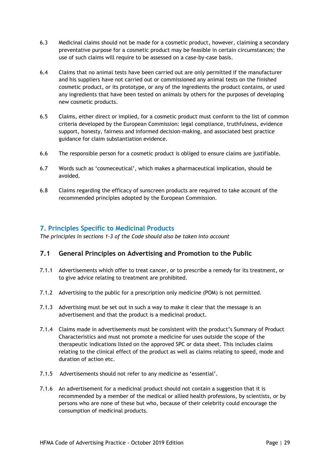- 6.3 Medicinal claims should not be made for a cosmetic product, however, claiming a secondary preventative purpose for a cosmetic product may be feasible in certain circumstances; the use of such claims will require to be assessed on a case-by-case basis.
- 6.4 Claims that no animal tests have been carried out are only permitted if the manufacturer and his suppliers have not carried out or commissioned any animal tests on the finished cosmetic product, or its prototype, or any of the ingredients the product contains, or used any ingredients that have been tested on animals by others for the purposes of developing new cosmetic products.
- 6.5 Claims, either direct or implied, for a cosmetic product must conform to the list of common criteria developed by the European Commission: legal compliance, truthfulness, evidence support, honesty, fairness and informed decision-making, and associated best practice guidance for claim substantiation evidence.
- 6.6 The responsible person for a cosmetic product is obliged to ensure claims are justifiable.
- 6.7 Words such as 'cosmeceutical', which makes a pharmaceutical implication, should be avoided.
- 6.8 Claims regarding the efficacy of sunscreen products are required to take account of the recommended principles adopted by the European Commission.

# **7. Principles Specific to Medicinal Products**

*The principles in sections 1-3 of the Code should also be taken into account*

# **7.1 General Principles on Advertising and Promotion to the Public**

- 7.1.1 Advertisements which offer to treat cancer, or to prescribe a remedy for its treatment, or to give advice relating to treatment are prohibited.
- 7.1.2 Advertising to the public for a prescription only medicine (POM) is not permitted.
- 7.1.3 Advertising must be set out in such a way to make it clear that the message is an advertisement and that the product is a medicinal product.
- 7.1.4 Claims made in advertisements must be consistent with the product's Summary of Product Characteristics and must not promote a medicine for uses outside the scope of the therapeutic indications listed on the approved SPC or data sheet. This includes claims relating to the clinical effect of the product as well as claims relating to speed, mode and duration of action etc.
- 7.1.5 Advertisements should not refer to any medicine as 'essential'.
- 7.1.6 An advertisement for a medicinal product should not contain a suggestion that it is recommended by a member of the medical or allied health professions, by scientists, or by persons who are none of these but who, because of their celebrity could encourage the consumption of medicinal products.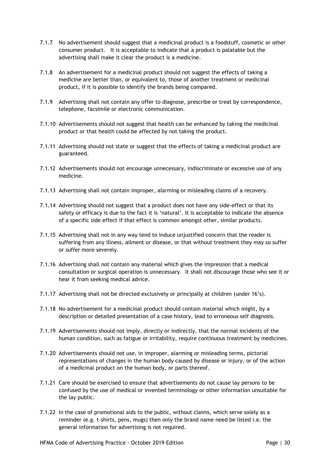- 7.1.7 No advertisement should suggest that a medicinal product is a foodstuff, cosmetic or other consumer product. It is acceptable to indicate that a product is palatable but the advertising shall make it clear the product is a medicine.
- 7.1.8 An advertisement for a medicinal product should not suggest the effects of taking a medicine are better than, or equivalent to, those of another treatment or medicinal product, if it is possible to identify the brands being compared.
- 7.1.9 Advertising shall not contain any offer to diagnose, prescribe or treat by correspondence, telephone, facsimile or electronic communication.
- 7.1.10 Advertisements should not suggest that health can be enhanced by taking the medicinal product or that health could be affected by not taking the product.
- 7.1.11 Advertising should not state or suggest that the effects of taking a medicinal product are guaranteed.
- 7.1.12 Advertisements should not encourage unnecessary, indiscriminate or excessive use of any medicine.
- 7.1.13 Advertising shall not contain improper, alarming or misleading claims of a recovery.
- 7.1.14 Advertising should not suggest that a product does not have any side-effect or that its safety or efficacy is due to the fact it is 'natural'. It is acceptable to indicate the absence of a specific side effect if that effect is common amongst other, similar products.
- 7.1.15 Advertising shall not in any way tend to induce unjustified concern that the reader is suffering from any illness, ailment or disease, or that without treatment they may so suffer or suffer more severely.
- 7.1.16 Advertising shall not contain any material which gives the impression that a medical consultation or surgical operation is unnecessary. It shall not discourage those who see it or hear it from seeking medical advice.
- 7.1.17 Advertising shall not be directed exclusively or principally at children (under 16's).
- 7.1.18 No advertisement for a medicinal product should contain material which might, by a description or detailed presentation of a case history, lead to erroneous self diagnosis.
- 7.1.19 Advertisements should not imply, directly or indirectly, that the normal incidents of the human condition, such as fatigue or irritability, require continuous treatment by medicines.
- 7.1.20 Advertisements should not use, in improper, alarming or misleading terms, pictorial representations of changes in the human body caused by disease or injury, or of the action of a medicinal product on the human body, or parts thereof.
- 7.1.21 Care should be exercised to ensure that advertisements do not cause lay persons to be confused by the use of medical or invented terminology or other information unsuitable for the lay public.
- 7.1.22 In the case of promotional aids to the public, without claims, which serve solely as a reminder (e.g. t-shirts, pens, mugs) then only the brand name need be listed i.e. the general information for advertising is not required.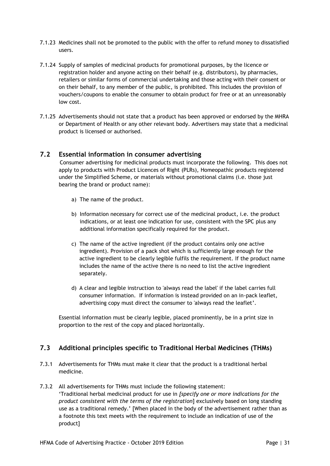- 7.1.23 Medicines shall not be promoted to the public with the offer to refund money to dissatisfied users.
- 7.1.24 Supply of samples of medicinal products for promotional purposes, by the licence or registration holder and anyone acting on their behalf (e.g. distributors), by pharmacies, retailers or similar forms of commercial undertaking and those acting with their consent or on their behalf, to any member of the public, is prohibited. This includes the provision of vouchers/coupons to enable the consumer to obtain product for free or at an unreasonably low cost.
- 7.1.25 Advertisements should not state that a product has been approved or endorsed by the MHRA or Department of Health or any other relevant body. Advertisers may state that a medicinal product is licensed or authorised.

### **7.2 Essential information in consumer advertising**

Consumer advertising for medicinal products must incorporate the following. This does not apply to products with Product Licences of Right (PLRs), Homeopathic products registered under the Simplified Scheme, or materials without promotional claims (i.e. those just bearing the brand or product name):

- a) The name of the product.
- b) Information necessary for correct use of the medicinal product, i.e. the product indications, or at least one indication for use, consistent with the SPC plus any additional information specifically required for the product.
- c) The name of the active ingredient (if the product contains only one active ingredient). Provision of a pack shot which is sufficiently large enough for the active ingredient to be clearly legible fulfils the requirement. If the product name includes the name of the active there is no need to list the active ingredient separately.
- d) A clear and legible instruction to 'always read the label' if the label carries full consumer information. If information is instead provided on an in-pack leaflet, advertising copy must direct the consumer to 'always read the leaflet'.

Essential information must be clearly legible, placed prominently, be in a print size in proportion to the rest of the copy and placed horizontally.

# **7.3 Additional principles specific to Traditional Herbal Medicines (THMs)**

- 7.3.1 Advertisements for THMs must make it clear that the product is a traditional herbal medicine.
- 7.3.2 All advertisements for THMs must include the following statement: 'Traditional herbal medicinal product for use in *[specify one or more indications for the product consistent with the terms of the registration*] exclusively based on long standing use as a traditional remedy.' [When placed in the body of the advertisement rather than as a footnote this text meets with the requirement to include an indication of use of the product]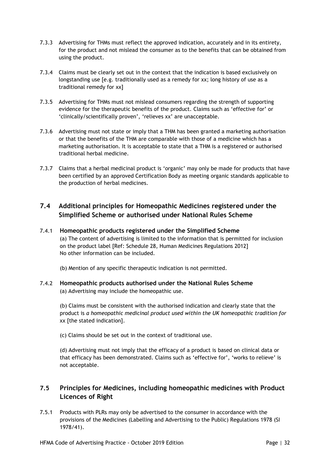- 7.3.3 Advertising for THMs must reflect the approved indication, accurately and in its entirety, for the product and not mislead the consumer as to the benefits that can be obtained from using the product.
- 7.3.4 Claims must be clearly set out in the context that the indication is based exclusively on longstanding use [e.g. traditionally used as a remedy for xx; long history of use as a traditional remedy for xx]
- 7.3.5 Advertising for THMs must not mislead consumers regarding the strength of supporting evidence for the therapeutic benefits of the product. Claims such as 'effective for' or 'clinically/scientifically proven', 'relieves xx' are unacceptable.
- 7.3.6 Advertising must not state or imply that a THM has been granted a marketing authorisation or that the benefits of the THM are comparable with those of a medicine which has a marketing authorisation. It is acceptable to state that a THM is a registered or authorised traditional herbal medicine.
- 7.3.7 Claims that a herbal medicinal product is 'organic' may only be made for products that have been certified by an approved Certification Body as meeting organic standards applicable to the production of herbal medicines.

# **7.4 Additional principles for Homeopathic Medicines registered under the Simplified Scheme or authorised under National Rules Scheme**

### 7.4.1 **Homeopathic products registered under the Simplified Scheme**

(a) The content of advertising is limited to the information that is permitted for inclusion on the product label [Ref: Schedule 28, Human Medicines Regulations 2012] No other information can be included.

(b) Mention of any specific therapeutic indication is not permitted.

### 7.4.2 **Homeopathic products authorised under the National Rules Scheme** (a) Advertising may include the homeopathic use.

(b) Claims must be consistent with the authorised indication and clearly state that the product is *a homeopathic medicinal product used within the UK homeopathic tradition for* xx [the stated indication].

(c) Claims should be set out in the context of traditional use.

(d) Advertising must not imply that the efficacy of a product is based on clinical data or that efficacy has been demonstrated. Claims such as 'effective for', 'works to relieve' is not acceptable.

# **7.5 Principles for Medicines, including homeopathic medicines with Product Licences of Right**

7.5.1 Products with PLRs may only be advertised to the consumer in accordance with the provisions of the Medicines (Labelling and Advertising to the Public) Regulations 1978 (SI 1978/41).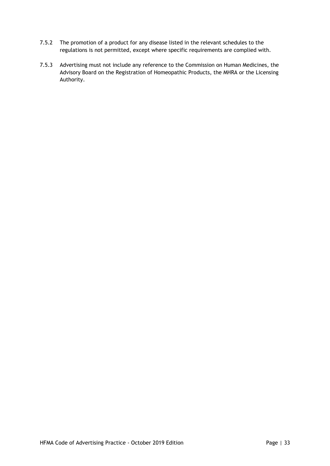- 7.5.2 The promotion of a product for any disease listed in the relevant schedules to the regulations is not permitted, except where specific requirements are complied with.
- 7.5.3 Advertising must not include any reference to the Commission on Human Medicines, the Advisory Board on the Registration of Homeopathic Products, the MHRA or the Licensing Authority.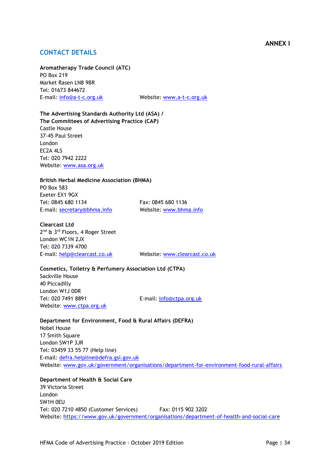### **ANNEX I**

# **CONTACT DETAILS**

**Aromatherapy Trade Council (ATC)** PO Box 219 Market Rasen LN8 9BR Tel: 01673 844672

E-mail: [info@a-t-c.org.uk](mailto:info@a-t-c.org.uk) Website: [www.a-t-c.org.uk](http://www.a-t-c.org.uk/)

**The Advertising Standards Authority Ltd (ASA) / The Committees of Advertising Practice (CAP)** Castle House 37-45 Paul Street London EC2A 4LS Tel: 020 7942 2222 Website: [www.asa.org.uk](http://www.asa.org.uk/)

#### **British Herbal Medicine Association (BHMA)**

PO Box 583 Exeter EX1 9GX Tel: 0845 680 1134 Fax: 0845 680 1136 E-mail: [secretary@bhma.info](mailto:secretary@bhma.info) Website: [www.bhma.info](http://www.bhma.info/)

#### **Clearcast Ltd**

2<sup>nd</sup> & 3<sup>rd</sup> Floors, 4 Roger Street London WC1N 2JX Tel: 020 7339 4700 E-mail: [help@clearcast.co.uk](mailto:help@clearcast.co.uk) Website: [www.clearcast.co.uk](http://www.clearcast.co.uk/)

### **Cosmetics, Toiletry & Perfumery Association Ltd (CTPA)**

Sackville House 40 Piccadilly London W1J 0DR Tel: 020 7491 8891 E-mail: [info@ctpa.org.uk](mailto:info@ctpa.org.uk) Website: [www.ctpa.org.uk](http://www.ctpa.org.uk/)

**Department for Environment, Food & Rural Affairs (DEFRA)** Nobel House 17 Smith Square London SW1P 3JR Tel: 03459 33 55 77 (Help line) E-mail: [defra.helpline@defra.gsi.gov.uk](mailto:defra.helpline@defra.gsi.gov.uk) Website: [www.gov.uk/government/organisations/department-for-environment-food-rural-affairs](http://www.gov.uk/government/organisations/department-for-environment-food-rural-affairs)

**Department of Health & Social Care** 39 Victoria Street London SW1H 0EU Tel: 020 7210 4850 (Customer Services) Fax: 0115 902 3202 Website: <https://www.gov.uk/government/organisations/department-of-health-and-social-care>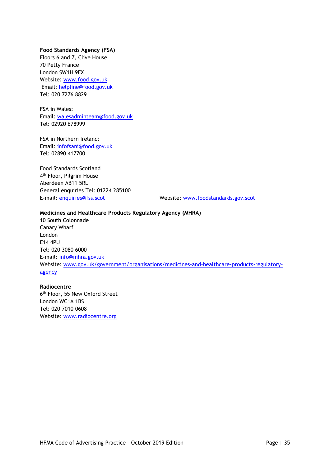### **Food Standards Agency (FSA)**

Floors 6 and 7, Clive House 70 Petty France London SW1H 9EX Website: [www.food.gov.uk](http://www.food.gov.uk/) Email: [helpline@food.gov.uk](mailto:helpline@food.gov.uk) Tel: 020 7276 8829

FSA in Wales: Email: [walesadminteam@food.gov.uk](mailto:walesadminteam@food.gov.uk) Tel: 02920 678999

FSA in Northern Ireland: Email: [infofsani@food.gov.uk](mailto:infofsani@food.gov.uk) Tel: 02890 417700

Food Standards Scotland 4<sup>th</sup> Floor, Pilgrim House Aberdeen AB11 5RL General enquiries Tel: 01224 285100

E-mail: [enquiries@fss.scot](mailto:enquiries@fss.scot) Website: [www.foodstandards.gov.scot](http://www.foodstandards.gov.scot/)

### **Medicines and Healthcare Products Regulatory Agency (MHRA)**

10 South Colonnade Canary Wharf London E14 4PU Tel: 020 3080 6000 E-mail: [info@mhra.gov.uk](mailto:info@mhra.gov.uk) Website: [www.gov.uk/government/organisations/medicines-and-healthcare-products-regulatory](http://www.gov.uk/government/organisations/medicines-and-healthcare-products-regulatory-agency)[agency](http://www.gov.uk/government/organisations/medicines-and-healthcare-products-regulatory-agency)

### **Radiocentre**

6<sup>th</sup> Floor, 55 New Oxford Street London WC1A 1BS Tel: 020 7010 0608 Website: [www.radiocentre.org](http://www.radiocentre.org/)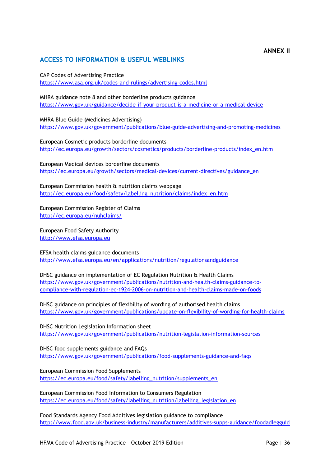# **ACCESS TO INFORMATION & USEFUL WEBLINKS**

CAP Codes of Advertising Practice <https://www.asa.org.uk/codes-and-rulings/advertising-codes.html>

MHRA guidance note 8 and other borderline products guidance <https://www.gov.uk/guidance/decide-if-your-product-is-a-medicine-or-a-medical-device>

MHRA Blue Guide (Medicines Advertising) <https://www.gov.uk/government/publications/blue-guide-advertising-and-promoting-medicines>

European Cosmetic products borderline documents [http://ec.europa.eu/growth/sectors/cosmetics/products/borderline-products/index\\_en.htm](http://ec.europa.eu/growth/sectors/cosmetics/products/borderline-products/index_en.htm)

European Medical devices borderline documents [https://ec.europa.eu/growth/sectors/medical-devices/current-directives/guidance\\_en](https://ec.europa.eu/growth/sectors/medical-devices/current-directives/guidance_en)

European Commission health & nutrition claims webpage [http://ec.europa.eu/food/safety/labelling\\_nutrition/claims/index\\_en.htm](http://ec.europa.eu/food/safety/labelling_nutrition/claims/index_en.htm)

European Commission Register of Claims <http://ec.europa.eu/nuhclaims/>

European Food Safety Authority [http://www.efsa.europa.eu](http://www.efsa.europa.eu/)

EFSA health claims guidance documents <http://www.efsa.europa.eu/en/applications/nutrition/regulationsandguidance>

DHSC guidance on implementation of EC Regulation Nutrition & Health Claims [https://www.gov.uk/government/publications/nutrition-and-health-claims-guidance-to](https://www.gov.uk/government/publications/nutrition-and-health-claims-guidance-to-compliance-with-regulation-ec-1924-2006-on-nutrition-and-health-claims-made-on-foods)[compliance-with-regulation-ec-1924-2006-on-nutrition-and-health-claims-made-on-foods](https://www.gov.uk/government/publications/nutrition-and-health-claims-guidance-to-compliance-with-regulation-ec-1924-2006-on-nutrition-and-health-claims-made-on-foods)

DHSC guidance on principles of flexibility of wording of authorised health claims <https://www.gov.uk/government/publications/update-on-flexibility-of-wording-for-health-claims>

DHSC Nutrition Legislation Information sheet <https://www.gov.uk/government/publications/nutrition-legislation-information-sources>

DHSC food supplements guidance and FAQs <https://www.gov.uk/government/publications/food-supplements-guidance-and-faqs>

European Commission Food Supplements [https://ec.europa.eu/food/safety/labelling\\_nutrition/supplements\\_en](https://ec.europa.eu/food/safety/labelling_nutrition/supplements_en)

European Commission Food Information to Consumers Regulation [https://ec.europa.eu/food/safety/labelling\\_nutrition/labelling\\_legislation\\_en](https://ec.europa.eu/food/safety/labelling_nutrition/labelling_legislation_en)

Food Standards Agency Food Additives legislation guidance to compliance <http://www.food.gov.uk/business-industry/manufacturers/additives-supps-guidance/foodadlegguid>

**ANNEX II**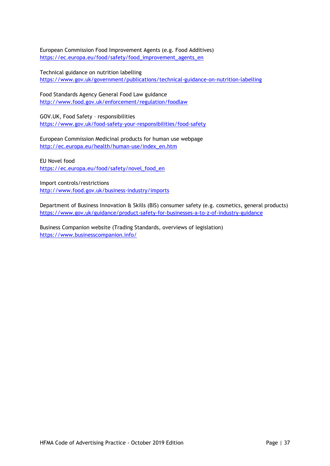European Commission Food Improvement Agents (e.g. Food Additives) [https://ec.europa.eu/food/safety/food\\_improvement\\_agents\\_en](https://ec.europa.eu/food/safety/food_improvement_agents_en)

Technical guidance on nutrition labelling <https://www.gov.uk/government/publications/technical-guidance-on-nutrition-labelling>

Food Standards Agency General Food Law guidance <http://www.food.gov.uk/enforcement/regulation/foodlaw>

GOV.UK, Food Safety – responsibilities <https://www.gov.uk/food-safety-your-responsibilities/food-safety>

European Commission Medicinal products for human use webpage [http://ec.europa.eu/health/human-use/index\\_en.htm](http://ec.europa.eu/health/human-use/index_en.htm)

EU Novel food [https://ec.europa.eu/food/safety/novel\\_food\\_en](https://ec.europa.eu/food/safety/novel_food_en)

Import controls/restrictions <http://www.food.gov.uk/business-industry/imports>

Department of Business Innovation & Skills (BIS) consumer safety (e.g. cosmetics, general products) <https://www.gov.uk/guidance/product-safety-for-businesses-a-to-z-of-industry-guidance>

Business Companion website (Trading Standards, overviews of legislation) <https://www.businesscompanion.info/>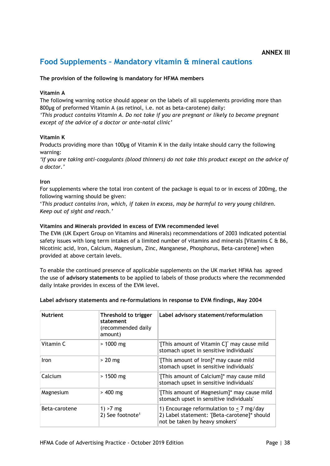# **Food Supplements – Mandatory vitamin & mineral cautions**

### **The provision of the following is mandatory for HFMA members**

### **Vitamin A**

The following warning notice should appear on the labels of all supplements providing more than 800µg of preformed Vitamin A (as retinol, i.e. not as beta-carotene) daily: *'This product contains Vitamin A. Do not take if you are pregnant or likely to become pregnant* 

*except of the advice of a doctor or ante-natal clinic'*

### **Vitamin K**

Products providing more than 100µg of Vitamin K in the daily intake should carry the following warning:

*'If you are taking anti-coagulants (blood thinners) do not take this product except on the advice of a doctor.'*

#### **Iron**

For supplements where the total iron content of the package is equal to or in excess of 200mg, the following warning should be given:

'*This product contains iron, which, if taken in excess, may be harmful to very young children. Keep out of sight and reach.'*

### **Vitamins and Minerals provided in excess of EVM recommended level**

The EVM (UK Expert Group on Vitamins and Minerals) recommendations of 2003 indicated potential safety issues with long term intakes of a limited number of vitamins and minerals [Vitamins  $C \oplus B6$ , Nicotinic acid, Iron, Calcium, Magnesium, Zinc, Manganese, Phosphorus, Beta-carotene] when provided at above certain levels.

To enable the continued presence of applicable supplements on the UK market HFMA has agreed the use of **advisory statements** to be applied to labels of those products where the recommended daily intake provides in excess of the EVM level.

| <b>Nutrient</b> | Threshold to trigger<br>statement<br>(recommended daily)<br>amount) | Label advisory statement/reformulation                                                                                         |
|-----------------|---------------------------------------------------------------------|--------------------------------------------------------------------------------------------------------------------------------|
| Vitamin C       | $> 1000$ mg                                                         | '[This amount of Vitamin C]' may cause mild<br>stomach upset in sensitive individuals'                                         |
| Iron            | $> 20$ mg                                                           | '[This amount of Iron]* may cause mild<br>stomach upset in sensitive individuals'                                              |
| Calcium         | $> 1500$ mg                                                         | '[This amount of Calcium]* may cause mild<br>stomach upset in sensitive individuals'                                           |
| Magnesium       | $> 400$ mg                                                          | '[This amount of Magnesium]* may cause mild<br>stomach upset in sensitive individuals'                                         |
| Beta-carotene   | $1) > 7$ mg<br>2) See footnote <sup>1</sup>                         | 1) Encourage reformulation to $\lt$ 7 mg/day<br>2) Label statement: '[Beta-carotene]* should<br>not be taken by heavy smokers' |

### **Label advisory statements and re-formulations in response to EVM findings, May 2004**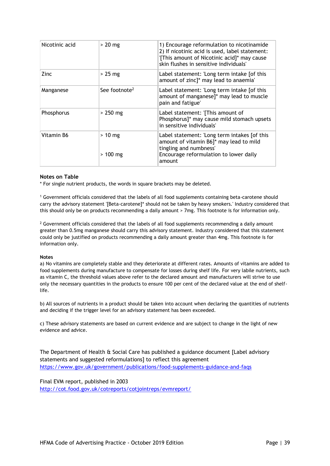| Nicotinic acid | $> 20$ mg                 | 1) Encourage reformulation to nicotinamide<br>2) If nicotinic acid is used, label statement:<br>'[This amount of Nicotinic acid]* may cause<br>skin flushes in sensitive individuals' |
|----------------|---------------------------|---------------------------------------------------------------------------------------------------------------------------------------------------------------------------------------|
| Zinc           | $>25$ mg                  | Label statement: 'Long term intake [of this<br>amount of zinc]* may lead to anaemia'                                                                                                  |
| Manganese      | See footnote <sup>2</sup> | Label statement: 'Long term intake [of this<br>amount of manganese]* may lead to muscle<br>pain and fatigue'                                                                          |
| Phosphorus     | $> 250$ mg                | Label statement: '[This amount of<br>Phosphorus]* may cause mild stomach upsets<br>in sensitive individuals'                                                                          |
| Vitamin B6     | $> 10$ mg<br>$>100$ mg    | Label statement: 'Long term intakes [of this<br>amount of vitamin B6]* may lead to mild<br>tingling and numbness'<br>Encourage reformulation to lower daily<br>amount                 |

#### **Notes on Table**

\* For single nutrient products, the words in square brackets may be deleted.

<sup>1</sup> Government officials considered that the labels of all food supplements containing beta-carotene should carry the advisory statement '[Beta-carotene]\* should not be taken by heavy smokers.' Industry considered that this should only be on products recommending a daily amount > 7mg. This footnote is for information only.

 $2$  Government officials considered that the labels of all food supplements recommending a daily amount greater than 0.5mg manganese should carry this advisory statement. Industry considered that this statement could only be justified on products recommending a daily amount greater than 4mg. This footnote is for information only.

#### **Notes**

a) No vitamins are completely stable and they deteriorate at different rates. Amounts of vitamins are added to food supplements during manufacture to compensate for losses during shelf life. For very labile nutrients, such as vitamin C, the threshold values above refer to the declared amount and manufacturers will strive to use only the necessary quantities in the products to ensure 100 per cent of the declared value at the end of shelflife.

b) All sources of nutrients in a product should be taken into account when declaring the quantities of nutrients and deciding if the trigger level for an advisory statement has been exceeded.

c) These advisory statements are based on current evidence and are subject to change in the light of new evidence and advice.

The Department of Health & Social Care has published a guidance document [Label advisory statements and suggested reformulations] to reflect this agreement <https://www.gov.uk/government/publications/food-supplements-guidance-and-faqs>

Final EVM report, published in 2003 <http://cot.food.gov.uk/cotreports/cotjointreps/evmreport/>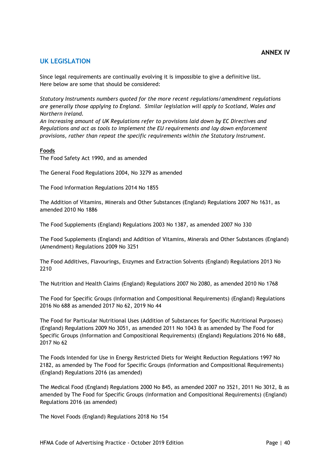### **UK LEGISLATION**

Since legal requirements are continually evolving it is impossible to give a definitive list. Here below are some that should be considered:

*Statutory Instruments numbers quoted for the more recent regulations/amendment regulations are generally those applying to England. Similar legislation will apply to Scotland, Wales and Northern Ireland.*

*An increasing amount of UK Regulations refer to provisions laid down by EC Directives and Regulations and act as tools to implement the EU requirements and lay down enforcement provisions, rather than repeat the specific requirements within the Statutory Instrument.* 

**Foods**

The Food Safety Act 1990, and as amended

The General Food Regulations 2004, No 3279 as amended

The Food Information Regulations 2014 No 1855

The Addition of Vitamins, Minerals and Other Substances (England) Regulations 2007 No 1631, as amended 2010 No 1886

The Food Supplements (England) Regulations 2003 No 1387, as amended 2007 No 330

The Food Supplements (England) and Addition of Vitamins, Minerals and Other Substances (England) (Amendment) Regulations 2009 No 3251

The Food Additives, Flavourings, Enzymes and Extraction Solvents (England) Regulations 2013 No 2210

The Nutrition and Health Claims (England) Regulations 2007 No 2080, as amended 2010 No 1768

The Food for Specific Groups (Information and Compositional Requirements) (England) Regulations 2016 No 688 as amended 2017 No 62, 2019 No 44

The Food for Particular Nutritional Uses (Addition of Substances for Specific Nutritional Purposes) (England) Regulations 2009 No 3051, as amended 2011 No 1043 & as amended by The Food for Specific Groups (Information and Compositional Requirements) (England) Regulations 2016 No 688, 2017 No 62

The Foods Intended for Use in Energy Restricted Diets for Weight Reduction Regulations 1997 No 2182, as amended by The Food for Specific Groups (Information and Compositional Requirements) (England) Regulations 2016 (as amended)

The Medical Food (England) Regulations 2000 No 845, as amended 2007 no 3521, 2011 No 3012, & as amended by The Food for Specific Groups (Information and Compositional Requirements) (England) Regulations 2016 (as amended)

The Novel Foods (England) Regulations 2018 No 154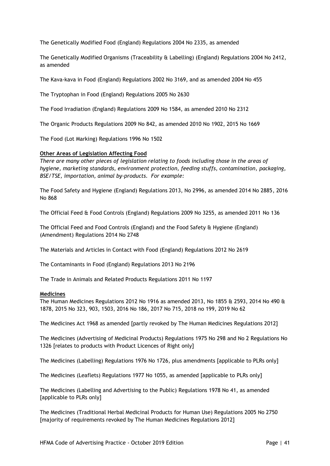The Genetically Modified Food (England) Regulations 2004 No 2335, as amended

The Genetically Modified Organisms (Traceability & Labelling) (England) Regulations 2004 No 2412, as amended

The Kava-kava in Food (England) Regulations 2002 No 3169, and as amended 2004 No 455

The Tryptophan in Food (England) Regulations 2005 No 2630

The Food Irradiation (England) Regulations 2009 No 1584, as amended 2010 No 2312

The Organic Products Regulations 2009 No 842, as amended 2010 No 1902, 2015 No 1669

The Food (Lot Marking) Regulations 1996 No 1502

### **Other Areas of Legislation Affecting Food**

*There are many other pieces of legislation relating to foods including those in the areas of hygiene, marketing standards, environment protection, feeding stuffs, contamination, packaging, BSE/TSE, importation, animal by-products. For example:*

The Food Safety and Hygiene (England) Regulations 2013, No 2996, as amended 2014 No 2885, 2016 No 868

The Official Feed & Food Controls (England) Regulations 2009 No 3255, as amended 2011 No 136

The Official Feed and Food Controls (England) and the Food Safety & Hygiene (England) (Amendment) Regulations 2014 No 2748

The Materials and Articles in Contact with Food (England) Regulations 2012 No 2619

The Contaminants in Food (England) Regulations 2013 No 2196

The Trade in Animals and Related Products Regulations 2011 No 1197

#### **Medicines**

The Human Medicines Regulations 2012 No 1916 as amended 2013, No 1855 & 2593, 2014 No 490 & 1878, 2015 No 323, 903, 1503, 2016 No 186, 2017 No 715, 2018 no 199, 2019 No 62

The Medicines Act 1968 as amended [partly revoked by The Human Medicines Regulations 2012]

The Medicines (Advertising of Medicinal Products) Regulations 1975 No 298 and No 2 Regulations No 1326 [relates to products with Product Licences of Right only]

The Medicines (Labelling) Regulations 1976 No 1726, plus amendments [applicable to PLRs only]

The Medicines (Leaflets) Regulations 1977 No 1055, as amended [applicable to PLRs only]

The Medicines (Labelling and Advertising to the Public) Regulations 1978 No 41, as amended [applicable to PLRs only]

The Medicines (Traditional Herbal Medicinal Products for Human Use) Regulations 2005 No 2750 [majority of requirements revoked by The Human Medicines Regulations 2012]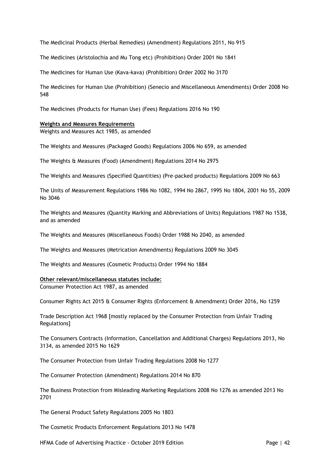The Medicinal Products (Herbal Remedies) (Amendment) Regulations 2011, No 915

The Medicines (Aristolochia and Mu Tong etc) (Prohibition) Order 2001 No 1841

The Medicines for Human Use (Kava-kava) (Prohibition) Order 2002 No 3170

The Medicines for Human Use (Prohibition) (Senecio and Miscellaneous Amendments) Order 2008 No 548

The Medicines (Products for Human Use) (Fees) Regulations 2016 No 190

#### **Weights and Measures Requirements**

Weights and Measures Act 1985, as amended

The Weights and Measures (Packaged Goods) Regulations 2006 No 659, as amended

The Weights & Measures (Food) (Amendment) Regulations 2014 No 2975

The Weights and Measures (Specified Quantities) (Pre-packed products) Regulations 2009 No 663

The Units of Measurement Regulations 1986 No 1082, 1994 No 2867, 1995 No 1804, 2001 No 55, 2009 No 3046

The Weights and Measures (Quantity Marking and Abbreviations of Units) Regulations 1987 No 1538, and as amended

The Weights and Measures (Miscellaneous Foods) Order 1988 No 2040, as amended

The Weights and Measures (Metrication Amendments) Regulations 2009 No 3045

The Weights and Measures (Cosmetic Products) Order 1994 No 1884

#### **Other relevant/miscellaneous statutes include:**

Consumer Protection Act 1987, as amended

Consumer Rights Act 2015 & Consumer Rights (Enforcement & Amendment) Order 2016, No 1259

Trade Description Act 1968 [mostly replaced by the Consumer Protection from Unfair Trading Regulations]

The Consumers Contracts (Information, Cancellation and Additional Charges) Regulations 2013, No 3134, as amended 2015 No 1629

The Consumer Protection from Unfair Trading Regulations 2008 No 1277

The Consumer Protection (Amendment) Regulations 2014 No 870

The Business Protection from Misleading Marketing Regulations 2008 No 1276 as amended 2013 No 2701

The General Product Safety Regulations 2005 No 1803

The Cosmetic Products Enforcement Regulations 2013 No 1478

HFMA Code of Advertising Practice - October 2019 Edition New York Code 1 42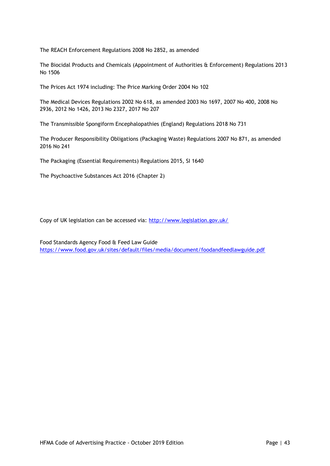The REACH Enforcement Regulations 2008 No 2852, as amended

The Biocidal Products and Chemicals (Appointment of Authorities & Enforcement) Regulations 2013 No 1506

The Prices Act 1974 including: The Price Marking Order 2004 No 102

The Medical Devices Regulations 2002 No 618, as amended 2003 No 1697, 2007 No 400, 2008 No 2936, 2012 No 1426, 2013 No 2327, 2017 No 207

The Transmissible Spongiform Encephalopathies (England) Regulations 2018 No 731

The Producer Responsibility Obligations (Packaging Waste) Regulations 2007 No 871, as amended 2016 No 241

The Packaging (Essential Requirements) Regulations 2015, SI 1640

The Psychoactive Substances Act 2016 (Chapter 2)

Copy of UK legislation can be accessed via:<http://www.legislation.gov.uk/>

Food Standards Agency Food & Feed Law Guide <https://www.food.gov.uk/sites/default/files/media/document/foodandfeedlawguide.pdf>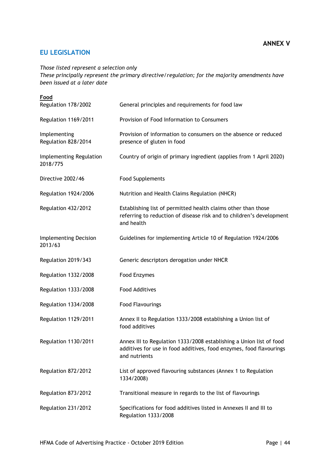# **EU LEGISLATION**

*Those listed represent a selection only*

*These principally represent the primary directive/regulation; for the majority amendments have been issued at a later date*

| Food<br>Regulation 178/2002             | General principles and requirements for food law                                                                                                            |
|-----------------------------------------|-------------------------------------------------------------------------------------------------------------------------------------------------------------|
| Regulation 1169/2011                    | Provision of Food Information to Consumers                                                                                                                  |
| Implementing<br>Regulation 828/2014     | Provision of information to consumers on the absence or reduced<br>presence of gluten in food                                                               |
| Implementing Regulation<br>2018/775     | Country of origin of primary ingredient (applies from 1 April 2020)                                                                                         |
| Directive 2002/46                       | <b>Food Supplements</b>                                                                                                                                     |
| Regulation 1924/2006                    | Nutrition and Health Claims Regulation (NHCR)                                                                                                               |
| Regulation 432/2012                     | Establishing list of permitted health claims other than those<br>referring to reduction of disease risk and to children's development<br>and health         |
| <b>Implementing Decision</b><br>2013/63 | Guidelines for implementing Article 10 of Regulation 1924/2006                                                                                              |
| Regulation 2019/343                     | Generic descriptors derogation under NHCR                                                                                                                   |
| Regulation 1332/2008                    | Food Enzymes                                                                                                                                                |
| Regulation 1333/2008                    | <b>Food Additives</b>                                                                                                                                       |
| Regulation 1334/2008                    | <b>Food Flavourings</b>                                                                                                                                     |
| Regulation 1129/2011                    | Annex II to Regulation 1333/2008 establishing a Union list of<br>food additives                                                                             |
| Regulation 1130/2011                    | Annex III to Regulation 1333/2008 establishing a Union list of food<br>additives for use in food additives, food enzymes, food flavourings<br>and nutrients |
| Regulation 872/2012                     | List of approved flavouring substances (Annex 1 to Regulation<br>1334/2008)                                                                                 |
| Regulation 873/2012                     | Transitional measure in regards to the list of flavourings                                                                                                  |
| Regulation 231/2012                     | Specifications for food additives listed in Annexes II and III to<br>Regulation 1333/2008                                                                   |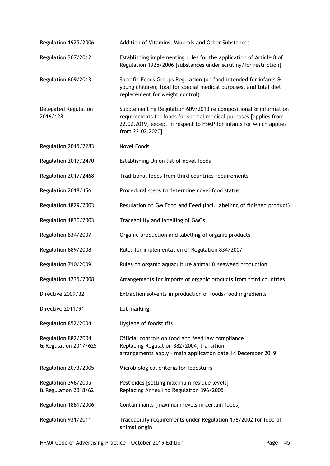| Regulation 1925/2006                         | Addition of Vitamins, Minerals and Other Substances                                                                                                                                                                              |
|----------------------------------------------|----------------------------------------------------------------------------------------------------------------------------------------------------------------------------------------------------------------------------------|
| Regulation 307/2012                          | Establishing implementing rules for the application of Article 8 of<br>Regulation 1925/2006 [substances under scrutiny/for restriction]                                                                                          |
| Regulation 609/2013                          | Specific Foods Groups Regulation (on food intended for infants &<br>young children, food for special medical purposes, and total diet<br>replacement for weight control)                                                         |
| Delegated Regulation<br>2016/128             | Supplementing Regulation 609/2013 re compositional & information<br>requirements for foods for special medical purposes [applies from<br>22.02.2019, except in respect to FSMP for infants for which applies<br>from 22.02.2020] |
| Regulation 2015/2283                         | <b>Novel Foods</b>                                                                                                                                                                                                               |
| Regulation 2017/2470                         | Establishing Union list of novel foods                                                                                                                                                                                           |
| Regulation 2017/2468                         | Traditional foods from third countries requirements                                                                                                                                                                              |
| Regulation 2018/456                          | Procedural steps to determine novel food status                                                                                                                                                                                  |
| Regulation 1829/2003                         | Regulation on GM Food and Feed (incl. labelling of finished product)                                                                                                                                                             |
| Regulation 1830/2003                         | Traceability and labelling of GMOs                                                                                                                                                                                               |
| Regulation 834/2007                          | Organic production and labelling of organic products                                                                                                                                                                             |
| Regulation 889/2008                          | Rules for implementation of Regulation 834/2007                                                                                                                                                                                  |
| Regulation 710/2009                          | Rules on organic aquaculture animal & seaweed production                                                                                                                                                                         |
| Regulation 1235/2008                         | Arrangements for imports of organic products from third countries                                                                                                                                                                |
| Directive 2009/32                            | Extraction solvents in production of foods/food ingredients                                                                                                                                                                      |
| Directive 2011/91                            | Lot marking                                                                                                                                                                                                                      |
| Regulation 852/2004                          | Hygiene of foodstuffs                                                                                                                                                                                                            |
| Regulation 882/2004<br>& Regulation 2017/625 | Official controls on food and feed law compliance<br>Replacing Regulation 882/2004; transition<br>arrangements apply - main application date 14 December 2019                                                                    |
| Regulation 2073/2005                         | Microbiological criteria for foodstuffs                                                                                                                                                                                          |
| Regulation 396/2005<br>& Regulation 2018/62  | Pesticides [setting maximum residue levels]<br>Replacing Annex I to Regulation 396/2005                                                                                                                                          |
| Regulation 1881/2006                         | Contaminants [maximum levels in certain foods]                                                                                                                                                                                   |
| Regulation 931/2011                          | Traceability requirements under Regulation 178/2002 for food of<br>animal origin                                                                                                                                                 |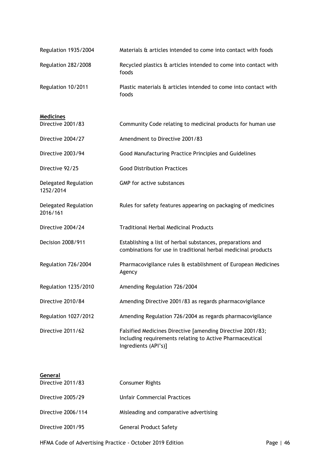| Regulation 1935/2004 | Materials & articles intended to come into contact with foods            |
|----------------------|--------------------------------------------------------------------------|
| Regulation 282/2008  | Recycled plastics & articles intended to come into contact with<br>foods |
| Regulation 10/2011   | Plastic materials & articles intended to come into contact with<br>foods |

### **Medicines**

| Directive 2001/83                 | Community Code relating to medicinal products for human use                                                                                    |
|-----------------------------------|------------------------------------------------------------------------------------------------------------------------------------------------|
| Directive 2004/27                 | Amendment to Directive 2001/83                                                                                                                 |
| Directive 2003/94                 | Good Manufacturing Practice Principles and Guidelines                                                                                          |
| Directive 92/25                   | <b>Good Distribution Practices</b>                                                                                                             |
| Delegated Regulation<br>1252/2014 | <b>GMP</b> for active substances                                                                                                               |
| Delegated Regulation<br>2016/161  | Rules for safety features appearing on packaging of medicines                                                                                  |
| Directive 2004/24                 | <b>Traditional Herbal Medicinal Products</b>                                                                                                   |
| Decision 2008/911                 | Establishing a list of herbal substances, preparations and<br>combinations for use in traditional herbal medicinal products                    |
| Regulation 726/2004               | Pharmacovigilance rules & establishment of European Medicines<br>Agency                                                                        |
| Regulation 1235/2010              | Amending Regulation 726/2004                                                                                                                   |
| Directive 2010/84                 | Amending Directive 2001/83 as regards pharmacovigilance                                                                                        |
| Regulation 1027/2012              | Amending Regulation 726/2004 as regards pharmacovigilance                                                                                      |
| Directive 2011/62                 | Falsified Medicines Directive [amending Directive 2001/83;<br>Including requirements relating to Active Pharmaceutical<br>Ingredients (API's)] |

| General            |                                        |
|--------------------|----------------------------------------|
| Directive 2011/83  | <b>Consumer Rights</b>                 |
| Directive 2005/29  | Unfair Commercial Practices            |
| Directive 2006/114 | Misleading and comparative advertising |
| Directive 2001/95  | <b>General Product Safety</b>          |

HFMA Code of Advertising Practice - October 2019 Edition Page | 46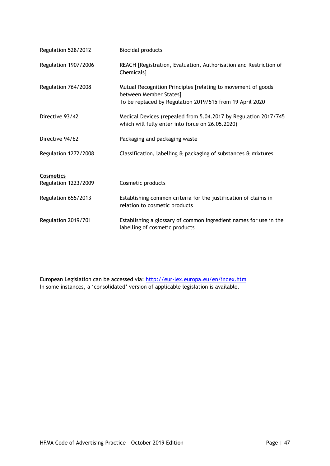| Regulation 528/2012  | <b>Biocidal products</b>                                                                                                                           |
|----------------------|----------------------------------------------------------------------------------------------------------------------------------------------------|
| Regulation 1907/2006 | REACH [Registration, Evaluation, Authorisation and Restriction of<br>Chemicals]                                                                    |
| Regulation 764/2008  | Mutual Recognition Principles [relating to movement of goods<br>between Member States]<br>To be replaced by Regulation 2019/515 from 19 April 2020 |
| Directive 93/42      | Medical Devices (repealed from 5.04.2017 by Regulation 2017/745<br>which will fully enter into force on 26.05.2020)                                |
| Directive 94/62      | Packaging and packaging waste                                                                                                                      |
| Regulation 1272/2008 | Classification, labelling & packaging of substances & mixtures                                                                                     |
| <b>Cosmetics</b>     |                                                                                                                                                    |
| Regulation 1223/2009 | Cosmetic products                                                                                                                                  |
| Regulation 655/2013  | Establishing common criteria for the justification of claims in<br>relation to cosmetic products                                                   |
| Regulation 2019/701  | Establishing a glossary of common ingredient names for use in the<br>labelling of cosmetic products                                                |

European Legislation can be accessed via:<http://eur-lex.europa.eu/en/index.htm> In some instances, a 'consolidated' version of applicable legislation is available.